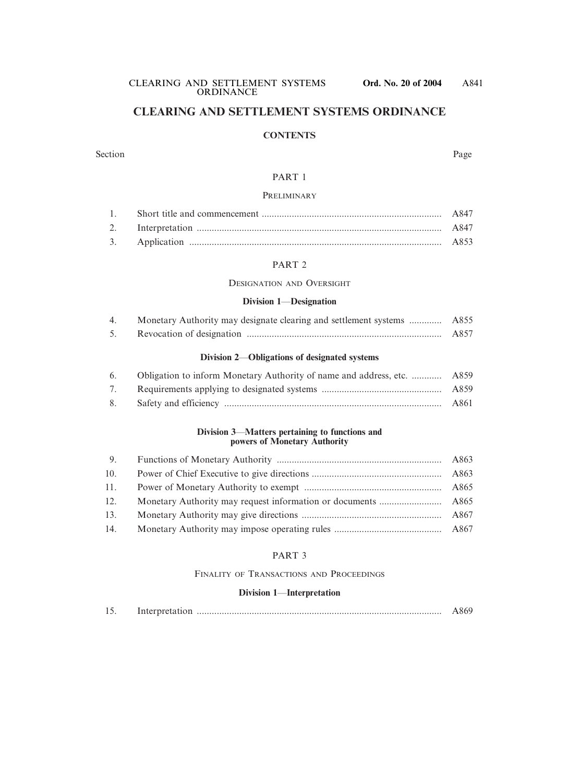#### **CLEARING AND SETTLEMENT SYSTEMS ORDINANCE**

#### **CONTENTS**

#### Section Page

#### PART 1

#### **PRELIMINARY**

#### PART 2

#### DESIGNATION AND OVERSIGHT

#### **Division 1**—**Designation**

| 4. | Monetary Authority may designate clearing and settlement systems  A855 |      |
|----|------------------------------------------------------------------------|------|
|    |                                                                        | A857 |

#### **Division 2**—**Obligations of designated systems**

| 6. |      |
|----|------|
| 7. |      |
| 8. | A861 |

#### **Division 3**—**Matters pertaining to functions and powers of Monetary Authority**

| 10. |      |
|-----|------|
| 11. |      |
| 12. |      |
| 13. | A867 |
| 14. |      |

#### PART 3

#### FINALITY OF TRANSACTIONS AND PROCEEDINGS

#### **Division 1**—**Interpretation**

| 1 <sup>5</sup><br>$1 \cup$ |  |  |  |
|----------------------------|--|--|--|
|----------------------------|--|--|--|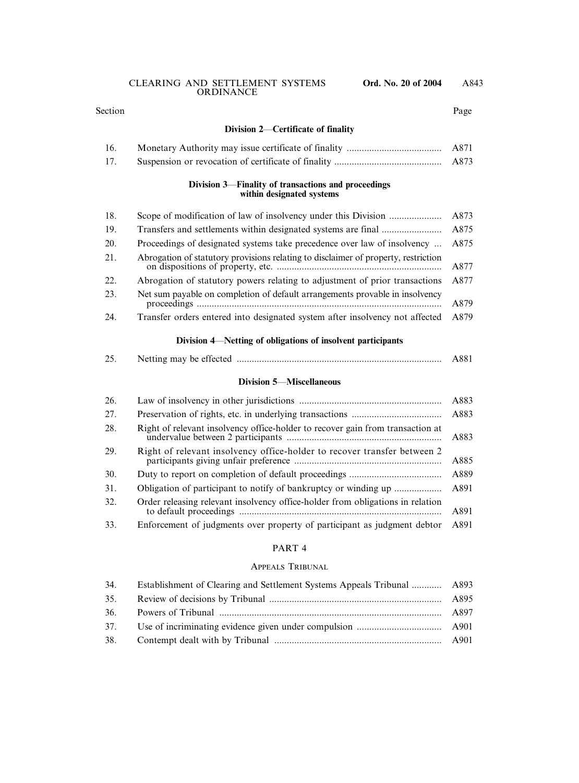Section Page

#### **Division 2**—**Certificate of finality**

| 16. |                                                                                  | A871 |
|-----|----------------------------------------------------------------------------------|------|
| 17. |                                                                                  |      |
|     | Division 3—Finality of transactions and proceedings<br>within designated systems |      |
| 18. |                                                                                  | A873 |
| 19  | Transfers and settlements within designated systems are final                    | A875 |

| 19. | I ransfers and settlements within designated systems are final                     | $A\delta/2$ |
|-----|------------------------------------------------------------------------------------|-------------|
| 20. | Proceedings of designated systems take precedence over law of insolvency           | A875        |
| 21. | Abrogation of statutory provisions relating to disclaimer of property, restriction | A877        |
| 22. | Abrogation of statutory powers relating to adjustment of prior transactions        | A877        |
| 23. | Net sum payable on completion of default arrangements provable in insolvency       | A879        |
| 24. | Transfer orders entered into designated system after insolvency not affected       | A879        |

#### **Division 4**—**Netting of obligations of insolvent participants**

| 25. |  |  | ANNI |
|-----|--|--|------|
|-----|--|--|------|

#### **Division 5**—**Miscellaneous**

| 26. |                                                                                | A883 |
|-----|--------------------------------------------------------------------------------|------|
| 27. |                                                                                | A883 |
| 28. | Right of relevant insolvency office-holder to recover gain from transaction at | A883 |
| 29. | Right of relevant insolvency office-holder to recover transfer between 2       | A885 |
| 30. |                                                                                | A889 |
| 31. |                                                                                | A891 |
| 32. | Order releasing relevant insolvency office-holder from obligations in relation | A891 |
| 33. | Enforcement of judgments over property of participant as judgment debtor       | A891 |

#### PART 4

#### APPEALS TRIBUNAL

| 34. | Establishment of Clearing and Settlement Systems Appeals Tribunal  A893 |  |
|-----|-------------------------------------------------------------------------|--|
| 35. |                                                                         |  |
|     |                                                                         |  |
|     |                                                                         |  |
|     |                                                                         |  |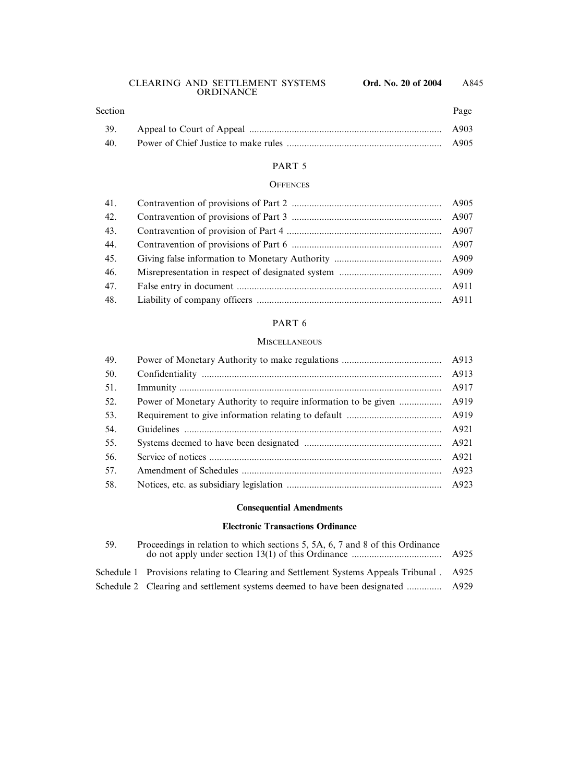# 39. Appeal to Court of Appeal ............................................................................. A903 40. Power of Chief Justice to make rules .............................................................. A905 Section Page

#### PART 5

#### **OFFENCES**

| 42. |  |
|-----|--|
| 43. |  |
| 44. |  |
| 45. |  |
| 46. |  |
| 47. |  |
| 48. |  |

#### PART 6

#### **MISCELLANEOUS**

| 49. |                                                                |      |
|-----|----------------------------------------------------------------|------|
| 50. |                                                                | A913 |
| 51. |                                                                | A917 |
| 52. | Power of Monetary Authority to require information to be given | A919 |
| 53. |                                                                |      |
| 54. |                                                                | A921 |
| 55. |                                                                |      |
| 56. |                                                                | A921 |
| 57. |                                                                | A923 |
| 58. |                                                                |      |

#### **Consequential Amendments**

#### **Electronic Transactions Ordinance**

| .59. | Proceedings in relation to which sections 5, 5A, 6, 7 and 8 of this Ordinance            | A925 |
|------|------------------------------------------------------------------------------------------|------|
|      | Schedule 1 Provisions relating to Clearing and Settlement Systems Appeals Tribunal. A925 |      |
|      | Schedule 2 Clearing and settlement systems deemed to have been designated  A929          |      |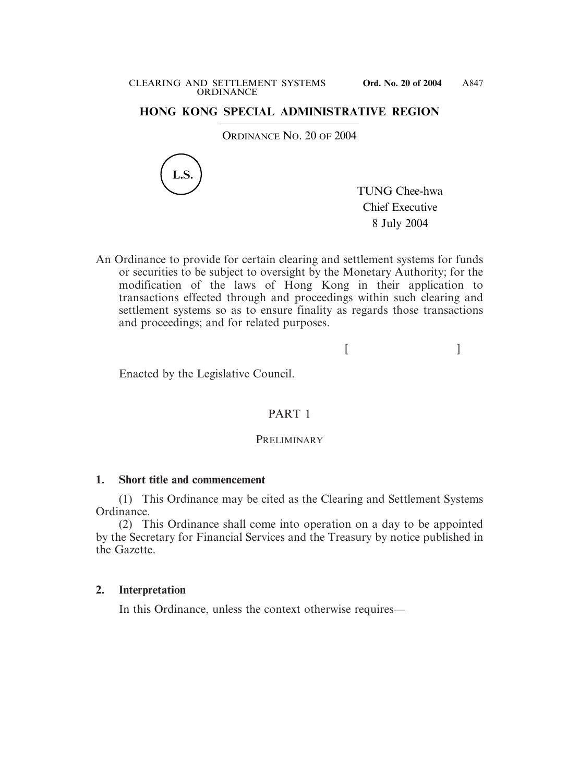# **HONG KONG SPECIAL ADMINISTRATIVE REGION**

ORDINANCE NO. 20 OF 2004



TUNG Chee-hwa Chief Executive 8 July 2004

An Ordinance to provide for certain clearing and settlement systems for funds or securities to be subject to oversight by the Monetary Authority; for the modification of the laws of Hong Kong in their application to transactions effected through and proceedings within such clearing and settlement systems so as to ensure finality as regards those transactions and proceedings; and for related purposes.

 $[$ 

Enacted by the Legislative Council.

# PART 1

#### **PRELIMINARY**

#### **1. Short title and commencement**

(1) This Ordinance may be cited as the Clearing and Settlement Systems Ordinance.

(2) This Ordinance shall come into operation on a day to be appointed by the Secretary for Financial Services and the Treasury by notice published in the Gazette.

# **2. Interpretation**

In this Ordinance, unless the context otherwise requires—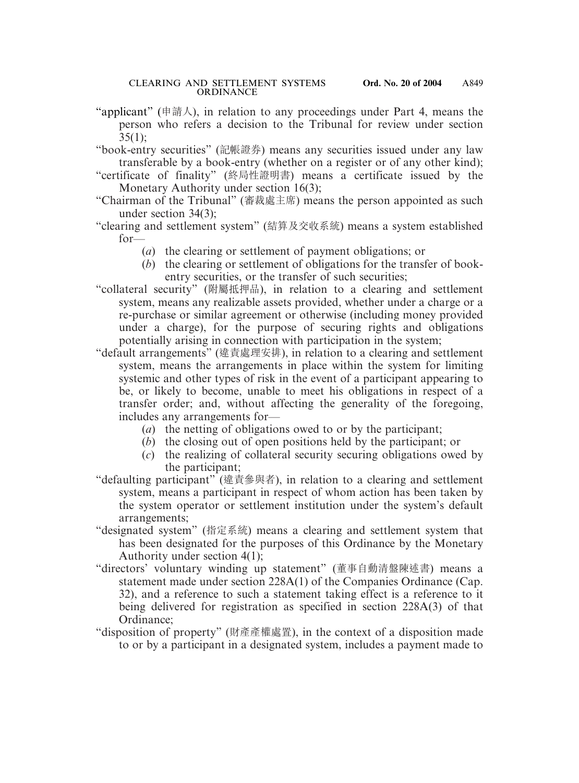- "applicant" (申請人), in relation to any proceedings under Part 4, means the person who refers a decision to the Tribunal for review under section  $35(1);$
- "book-entry securities" (記帳證券) means any securities issued under any law transferable by a book-entry (whether on a register or of any other kind);
- "certificate of finality" (終局性證明書) means a certificate issued by the Monetary Authority under section 16(3);
- "Chairman of the Tribunal" (審裁處主席) means the person appointed as such under section 34(3);
- "clearing and settlement system" (結算及交收系統) means a system established for—
	- (*a*) the clearing or settlement of payment obligations; or
	- (*b*) the clearing or settlement of obligations for the transfer of bookentry securities, or the transfer of such securities;
- "collateral security" (附屬抵押品), in relation to a clearing and settlement system, means any realizable assets provided, whether under a charge or a re-purchase or similar agreement or otherwise (including money provided under a charge), for the purpose of securing rights and obligations potentially arising in connection with participation in the system;
- "default arrangements" (違責處理安排), in relation to a clearing and settlement system, means the arrangements in place within the system for limiting systemic and other types of risk in the event of a participant appearing to be, or likely to become, unable to meet his obligations in respect of a transfer order; and, without affecting the generality of the foregoing, includes any arrangements for—
	- (*a*) the netting of obligations owed to or by the participant;
	- (*b*) the closing out of open positions held by the participant; or
	- (*c*) the realizing of collateral security securing obligations owed by the participant;
- "defaulting participant" (違責參與者), in relation to a clearing and settlement system, means a participant in respect of whom action has been taken by the system operator or settlement institution under the system's default arrangements;
- "designated system" (指定系統) means a clearing and settlement system that has been designated for the purposes of this Ordinance by the Monetary Authority under section 4(1);
- "directors' voluntary winding up statement" (董事自動清盤陳述書) means a statement made under section 228A(1) of the Companies Ordinance (Cap. 32), and a reference to such a statement taking effect is a reference to it being delivered for registration as specified in section 228A(3) of that Ordinance;
- "disposition of property" (財產產權處置), in the context of a disposition made to or by a participant in a designated system, includes a payment made to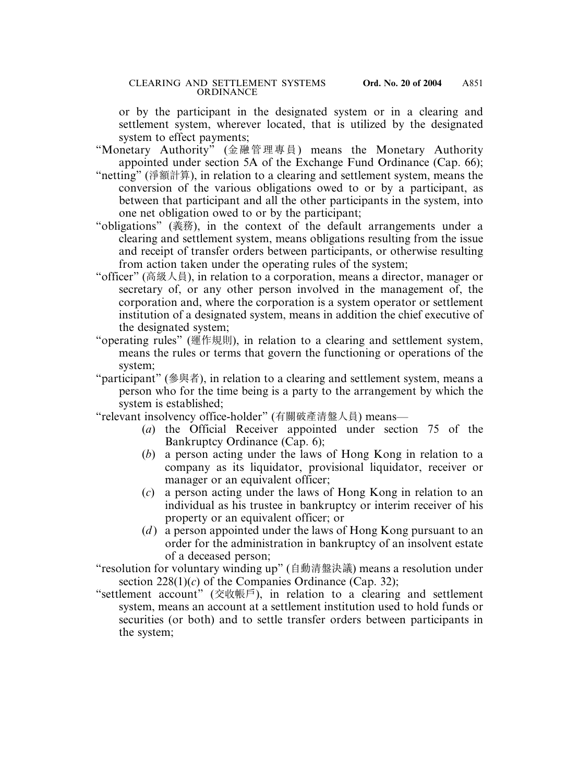or by the participant in the designated system or in a clearing and settlement system, wherever located, that is utilized by the designated system to effect payments;

- "Monetary Authority" (金融管理專員) means the Monetary Authority appointed under section 5A of the Exchange Fund Ordinance (Cap. 66);
- "netting" (淨額計算), in relation to a clearing and settlement system, means the conversion of the various obligations owed to or by a participant, as between that participant and all the other participants in the system, into one net obligation owed to or by the participant;
- "obligations" (義務), in the context of the default arrangements under a clearing and settlement system, means obligations resulting from the issue and receipt of transfer orders between participants, or otherwise resulting from action taken under the operating rules of the system;
- "officer" (高級人員), in relation to a corporation, means a director, manager or secretary of, or any other person involved in the management of, the corporation and, where the corporation is a system operator or settlement institution of a designated system, means in addition the chief executive of the designated system;
- "operating rules" (運作規則), in relation to a clearing and settlement system, means the rules or terms that govern the functioning or operations of the system;
- "participant" (參與者), in relation to a clearing and settlement system, means a person who for the time being is a party to the arrangement by which the system is established;
- "relevant insolvency office-holder" (有關破產清盤人員) means—
	- (*a*) the Official Receiver appointed under section 75 of the Bankruptcy Ordinance (Cap. 6);
	- (*b*) a person acting under the laws of Hong Kong in relation to a company as its liquidator, provisional liquidator, receiver or manager or an equivalent officer;
	- (*c*) a person acting under the laws of Hong Kong in relation to an individual as his trustee in bankruptcy or interim receiver of his property or an equivalent officer; or
	- (*d*) a person appointed under the laws of Hong Kong pursuant to an order for the administration in bankruptcy of an insolvent estate of a deceased person;
- "resolution for voluntary winding up" (自動清盤決議) means a resolution under section  $228(1)(c)$  of the Companies Ordinance (Cap. 32);
- "settlement account" (交收帳戶), in relation to a clearing and settlement system, means an account at a settlement institution used to hold funds or securities (or both) and to settle transfer orders between participants in the system;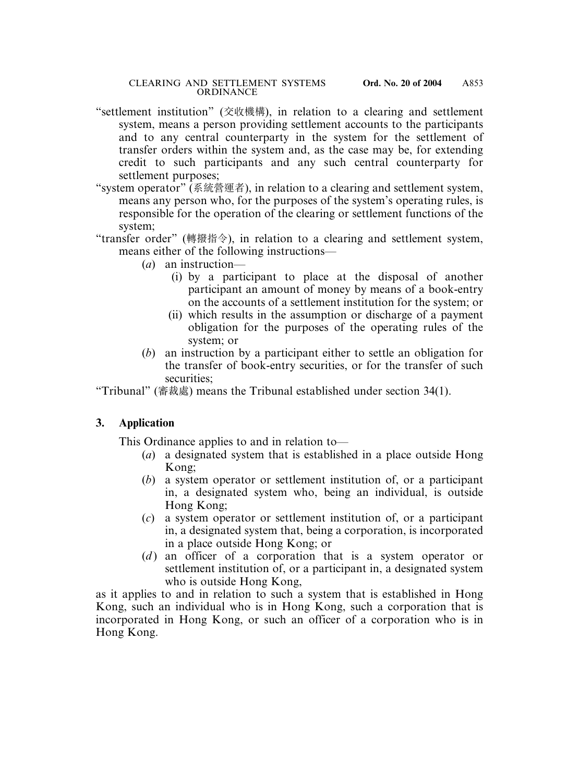- "settlement institution" (交收機構), in relation to a clearing and settlement system, means a person providing settlement accounts to the participants and to any central counterparty in the system for the settlement of transfer orders within the system and, as the case may be, for extending credit to such participants and any such central counterparty for settlement purposes;
- "system operator" (系統營運者), in relation to a clearing and settlement system, means any person who, for the purposes of the system's operating rules, is responsible for the operation of the clearing or settlement functions of the system;
- "transfer order" (轉撥指令), in relation to a clearing and settlement system, means either of the following instructions—
	- (*a*) an instruction—
		- (i) by a participant to place at the disposal of another participant an amount of money by means of a book-entry on the accounts of a settlement institution for the system; or
		- (ii) which results in the assumption or discharge of a payment obligation for the purposes of the operating rules of the system; or
	- (*b*) an instruction by a participant either to settle an obligation for the transfer of book-entry securities, or for the transfer of such securities;

"Tribunal" (審裁處) means the Tribunal established under section 34(1).

# **3. Application**

This Ordinance applies to and in relation to—

- (*a*) a designated system that is established in a place outside Hong Kong;
- (*b*) a system operator or settlement institution of, or a participant in, a designated system who, being an individual, is outside Hong Kong;
- (*c*) a system operator or settlement institution of, or a participant in, a designated system that, being a corporation, is incorporated in a place outside Hong Kong; or
- (*d*) an officer of a corporation that is a system operator or settlement institution of, or a participant in, a designated system who is outside Hong Kong,

as it applies to and in relation to such a system that is established in Hong Kong, such an individual who is in Hong Kong, such a corporation that is incorporated in Hong Kong, or such an officer of a corporation who is in Hong Kong.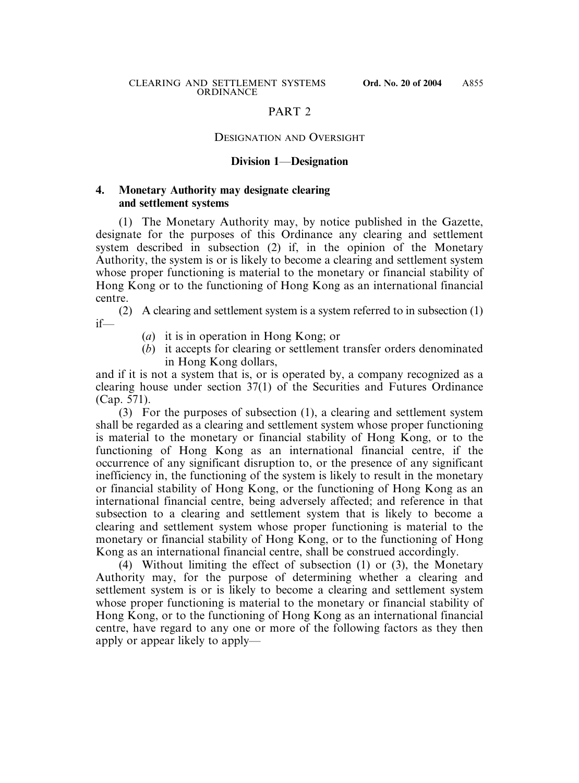# PART 2

#### DESIGNATION AND OVERSIGHT

## **Division 1**—**Designation**

## **4. Monetary Authority may designate clearing and settlement systems**

(1) The Monetary Authority may, by notice published in the Gazette, designate for the purposes of this Ordinance any clearing and settlement system described in subsection (2) if, in the opinion of the Monetary Authority, the system is or is likely to become a clearing and settlement system whose proper functioning is material to the monetary or financial stability of Hong Kong or to the functioning of Hong Kong as an international financial centre.

(2) A clearing and settlement system is a system referred to in subsection (1) if—

- (*a*) it is in operation in Hong Kong; or
- (*b*) it accepts for clearing or settlement transfer orders denominated in Hong Kong dollars,

and if it is not a system that is, or is operated by, a company recognized as a clearing house under section 37(1) of the Securities and Futures Ordinance (Cap. 571).

(3) For the purposes of subsection (1), a clearing and settlement system shall be regarded as a clearing and settlement system whose proper functioning is material to the monetary or financial stability of Hong Kong, or to the functioning of Hong Kong as an international financial centre, if the occurrence of any significant disruption to, or the presence of any significant inefficiency in, the functioning of the system is likely to result in the monetary or financial stability of Hong Kong, or the functioning of Hong Kong as an international financial centre, being adversely affected; and reference in that subsection to a clearing and settlement system that is likely to become a clearing and settlement system whose proper functioning is material to the monetary or financial stability of Hong Kong, or to the functioning of Hong Kong as an international financial centre, shall be construed accordingly.

(4) Without limiting the effect of subsection (1) or (3), the Monetary Authority may, for the purpose of determining whether a clearing and settlement system is or is likely to become a clearing and settlement system whose proper functioning is material to the monetary or financial stability of Hong Kong, or to the functioning of Hong Kong as an international financial centre, have regard to any one or more of the following factors as they then apply or appear likely to apply—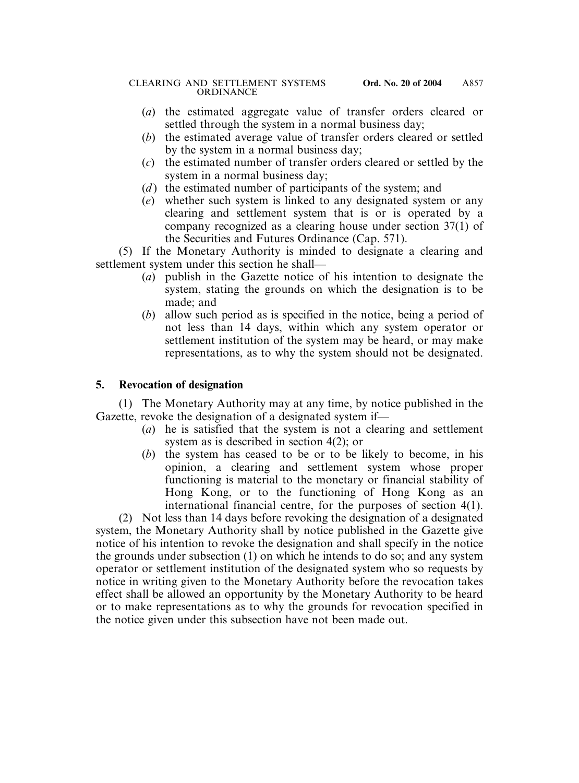- (*a*) the estimated aggregate value of transfer orders cleared or settled through the system in a normal business day;
- (*b*) the estimated average value of transfer orders cleared or settled by the system in a normal business day;
- (*c*) the estimated number of transfer orders cleared or settled by the system in a normal business day;
- (*d*) the estimated number of participants of the system; and
- (*e*) whether such system is linked to any designated system or any clearing and settlement system that is or is operated by a company recognized as a clearing house under section 37(1) of the Securities and Futures Ordinance (Cap. 571).

(5) If the Monetary Authority is minded to designate a clearing and settlement system under this section he shall—

- (*a*) publish in the Gazette notice of his intention to designate the system, stating the grounds on which the designation is to be made; and
- (*b*) allow such period as is specified in the notice, being a period of not less than 14 days, within which any system operator or settlement institution of the system may be heard, or may make representations, as to why the system should not be designated.

# **5. Revocation of designation**

(1) The Monetary Authority may at any time, by notice published in the Gazette, revoke the designation of a designated system if—

- (*a*) he is satisfied that the system is not a clearing and settlement system as is described in section 4(2); or
- (*b*) the system has ceased to be or to be likely to become, in his opinion, a clearing and settlement system whose proper functioning is material to the monetary or financial stability of Hong Kong, or to the functioning of Hong Kong as an international financial centre, for the purposes of section 4(1).

(2) Not less than 14 days before revoking the designation of a designated system, the Monetary Authority shall by notice published in the Gazette give notice of his intention to revoke the designation and shall specify in the notice the grounds under subsection (1) on which he intends to do so; and any system operator or settlement institution of the designated system who so requests by notice in writing given to the Monetary Authority before the revocation takes effect shall be allowed an opportunity by the Monetary Authority to be heard or to make representations as to why the grounds for revocation specified in the notice given under this subsection have not been made out.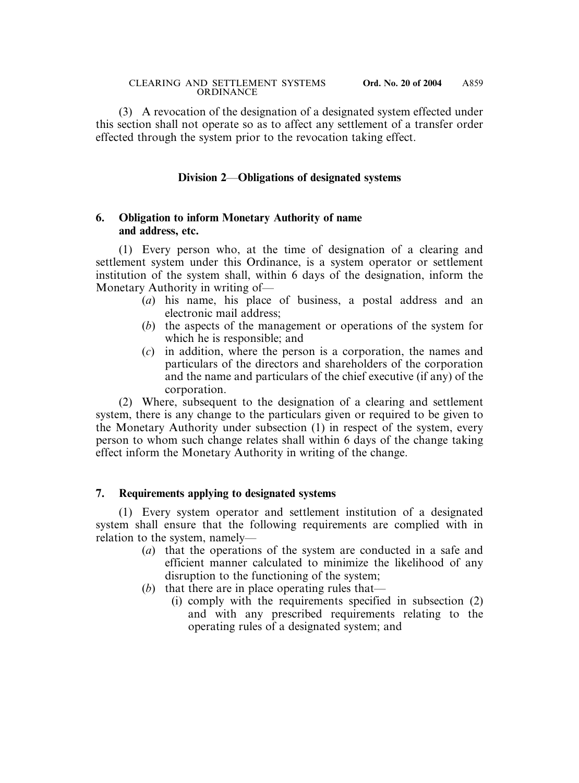(3) A revocation of the designation of a designated system effected under this section shall not operate so as to affect any settlement of a transfer order effected through the system prior to the revocation taking effect.

## **Division 2**—**Obligations of designated systems**

#### **6. Obligation to inform Monetary Authority of name and address, etc.**

(1) Every person who, at the time of designation of a clearing and settlement system under this Ordinance, is a system operator or settlement institution of the system shall, within 6 days of the designation, inform the Monetary Authority in writing of—

- (*a*) his name, his place of business, a postal address and an electronic mail address;
- (*b*) the aspects of the management or operations of the system for which he is responsible; and
- (*c*) in addition, where the person is a corporation, the names and particulars of the directors and shareholders of the corporation and the name and particulars of the chief executive (if any) of the corporation.

(2) Where, subsequent to the designation of a clearing and settlement system, there is any change to the particulars given or required to be given to the Monetary Authority under subsection (1) in respect of the system, every person to whom such change relates shall within 6 days of the change taking effect inform the Monetary Authority in writing of the change.

#### **7. Requirements applying to designated systems**

(1) Every system operator and settlement institution of a designated system shall ensure that the following requirements are complied with in relation to the system, namely—

- (*a*) that the operations of the system are conducted in a safe and efficient manner calculated to minimize the likelihood of any disruption to the functioning of the system;
- (*b*) that there are in place operating rules that—
	- (i) comply with the requirements specified in subsection (2) and with any prescribed requirements relating to the operating rules of a designated system; and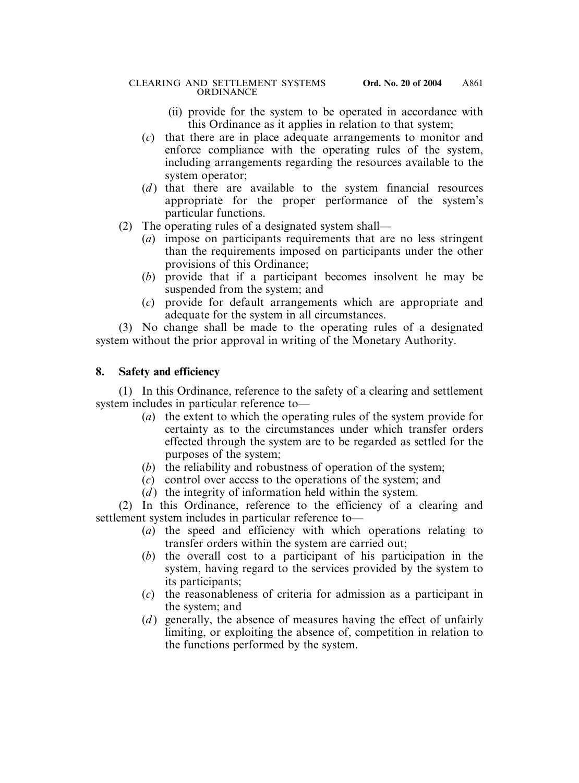- (ii) provide for the system to be operated in accordance with this Ordinance as it applies in relation to that system;
- (*c*) that there are in place adequate arrangements to monitor and enforce compliance with the operating rules of the system, including arrangements regarding the resources available to the system operator;
- (*d*) that there are available to the system financial resources appropriate for the proper performance of the system's particular functions.
- (2) The operating rules of a designated system shall—
	- (*a*) impose on participants requirements that are no less stringent than the requirements imposed on participants under the other provisions of this Ordinance;
	- (*b*) provide that if a participant becomes insolvent he may be suspended from the system; and
	- (*c*) provide for default arrangements which are appropriate and adequate for the system in all circumstances.

(3) No change shall be made to the operating rules of a designated system without the prior approval in writing of the Monetary Authority.

# **8. Safety and efficiency**

(1) In this Ordinance, reference to the safety of a clearing and settlement system includes in particular reference to—

- (*a*) the extent to which the operating rules of the system provide for certainty as to the circumstances under which transfer orders effected through the system are to be regarded as settled for the purposes of the system;
- (*b*) the reliability and robustness of operation of the system;
- (*c*) control over access to the operations of the system; and
- (*d*) the integrity of information held within the system.

(2) In this Ordinance, reference to the efficiency of a clearing and settlement system includes in particular reference to—

- (*a*) the speed and efficiency with which operations relating to transfer orders within the system are carried out;
- (*b*) the overall cost to a participant of his participation in the system, having regard to the services provided by the system to its participants;
- (*c*) the reasonableness of criteria for admission as a participant in the system; and
- (*d*) generally, the absence of measures having the effect of unfairly limiting, or exploiting the absence of, competition in relation to the functions performed by the system.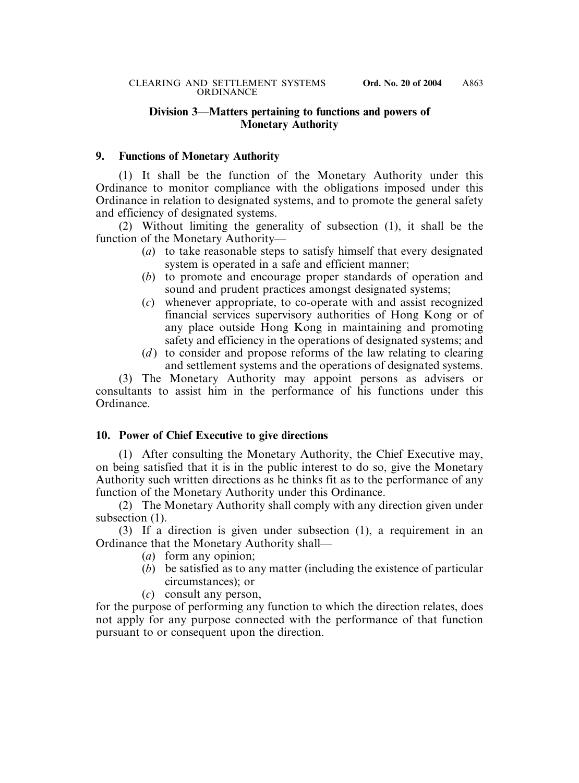## **Division 3**—**Matters pertaining to functions and powers of Monetary Authority**

#### **9. Functions of Monetary Authority**

(1) It shall be the function of the Monetary Authority under this Ordinance to monitor compliance with the obligations imposed under this Ordinance in relation to designated systems, and to promote the general safety and efficiency of designated systems.

(2) Without limiting the generality of subsection (1), it shall be the function of the Monetary Authority—

- (*a*) to take reasonable steps to satisfy himself that every designated system is operated in a safe and efficient manner;
- (*b*) to promote and encourage proper standards of operation and sound and prudent practices amongst designated systems;
- (*c*) whenever appropriate, to co-operate with and assist recognized financial services supervisory authorities of Hong Kong or of any place outside Hong Kong in maintaining and promoting safety and efficiency in the operations of designated systems; and
- (*d*) to consider and propose reforms of the law relating to clearing and settlement systems and the operations of designated systems.

(3) The Monetary Authority may appoint persons as advisers or consultants to assist him in the performance of his functions under this Ordinance.

# **10. Power of Chief Executive to give directions**

(1) After consulting the Monetary Authority, the Chief Executive may, on being satisfied that it is in the public interest to do so, give the Monetary Authority such written directions as he thinks fit as to the performance of any function of the Monetary Authority under this Ordinance.

(2) The Monetary Authority shall comply with any direction given under subsection (1).

(3) If a direction is given under subsection (1), a requirement in an Ordinance that the Monetary Authority shall—

- (*a*) form any opinion;
- (*b*) be satisfied as to any matter (including the existence of particular circumstances); or
- (*c*) consult any person,

for the purpose of performing any function to which the direction relates, does not apply for any purpose connected with the performance of that function pursuant to or consequent upon the direction.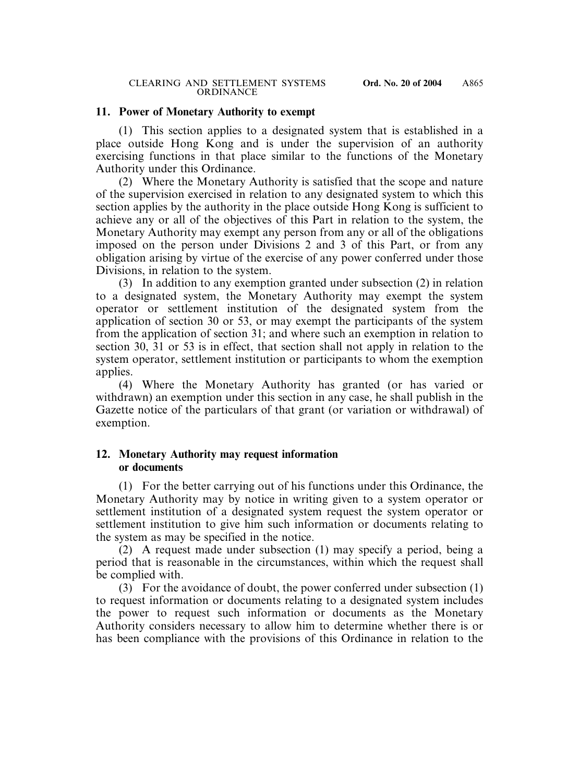#### **11. Power of Monetary Authority to exempt**

(1) This section applies to a designated system that is established in a place outside Hong Kong and is under the supervision of an authority exercising functions in that place similar to the functions of the Monetary Authority under this Ordinance.

(2) Where the Monetary Authority is satisfied that the scope and nature of the supervision exercised in relation to any designated system to which this section applies by the authority in the place outside Hong Kong is sufficient to achieve any or all of the objectives of this Part in relation to the system, the Monetary Authority may exempt any person from any or all of the obligations imposed on the person under Divisions 2 and 3 of this Part, or from any obligation arising by virtue of the exercise of any power conferred under those Divisions, in relation to the system.

(3) In addition to any exemption granted under subsection (2) in relation to a designated system, the Monetary Authority may exempt the system operator or settlement institution of the designated system from the application of section 30 or 53, or may exempt the participants of the system from the application of section 31; and where such an exemption in relation to section 30, 31 or 53 is in effect, that section shall not apply in relation to the system operator, settlement institution or participants to whom the exemption applies.

(4) Where the Monetary Authority has granted (or has varied or withdrawn) an exemption under this section in any case, he shall publish in the Gazette notice of the particulars of that grant (or variation or withdrawal) of exemption.

#### **12. Monetary Authority may request information or documents**

(1) For the better carrying out of his functions under this Ordinance, the Monetary Authority may by notice in writing given to a system operator or settlement institution of a designated system request the system operator or settlement institution to give him such information or documents relating to the system as may be specified in the notice.

(2) A request made under subsection (1) may specify a period, being a period that is reasonable in the circumstances, within which the request shall be complied with.

(3) For the avoidance of doubt, the power conferred under subsection (1) to request information or documents relating to a designated system includes the power to request such information or documents as the Monetary Authority considers necessary to allow him to determine whether there is or has been compliance with the provisions of this Ordinance in relation to the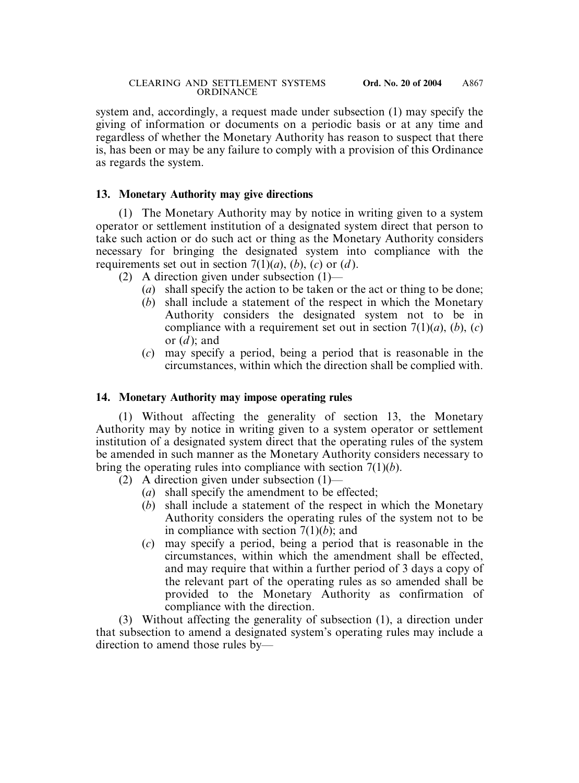system and, accordingly, a request made under subsection (1) may specify the giving of information or documents on a periodic basis or at any time and regardless of whether the Monetary Authority has reason to suspect that there is, has been or may be any failure to comply with a provision of this Ordinance as regards the system.

## **13. Monetary Authority may give directions**

(1) The Monetary Authority may by notice in writing given to a system operator or settlement institution of a designated system direct that person to take such action or do such act or thing as the Monetary Authority considers necessary for bringing the designated system into compliance with the requirements set out in section  $7(1)(a)$ ,  $(b)$ ,  $(c)$  or  $(d)$ .

(2) A direction given under subsection (1)—

- (*a*) shall specify the action to be taken or the act or thing to be done;
- (*b*) shall include a statement of the respect in which the Monetary Authority considers the designated system not to be in compliance with a requirement set out in section  $7(1)(a)$ ,  $(b)$ ,  $(c)$ or  $(d)$ ; and
- (*c*) may specify a period, being a period that is reasonable in the circumstances, within which the direction shall be complied with.

## **14. Monetary Authority may impose operating rules**

(1) Without affecting the generality of section 13, the Monetary Authority may by notice in writing given to a system operator or settlement institution of a designated system direct that the operating rules of the system be amended in such manner as the Monetary Authority considers necessary to bring the operating rules into compliance with section 7(1)(*b*).

- (2) A direction given under subsection  $(1)$ 
	- (*a*) shall specify the amendment to be effected;
	- (*b*) shall include a statement of the respect in which the Monetary Authority considers the operating rules of the system not to be in compliance with section 7(1)(*b*); and
	- (*c*) may specify a period, being a period that is reasonable in the circumstances, within which the amendment shall be effected, and may require that within a further period of 3 days a copy of the relevant part of the operating rules as so amended shall be provided to the Monetary Authority as confirmation of compliance with the direction.

(3) Without affecting the generality of subsection (1), a direction under that subsection to amend a designated system's operating rules may include a direction to amend those rules by—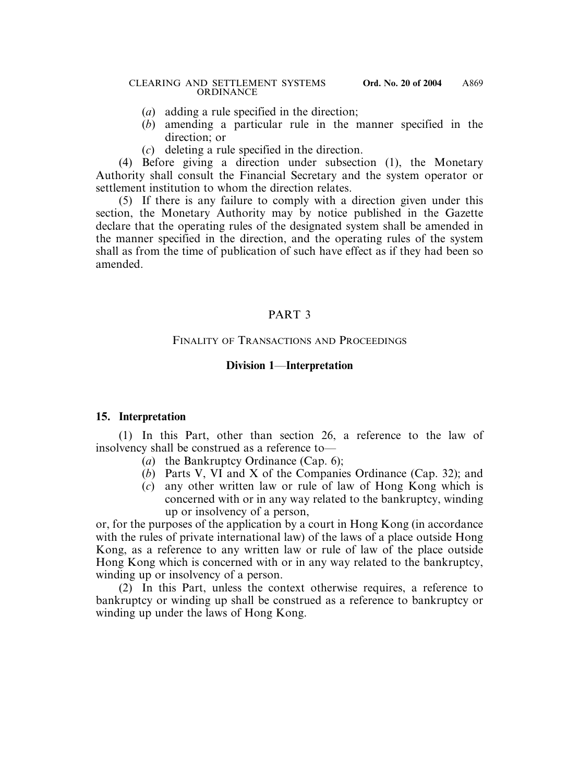- (*a*) adding a rule specified in the direction;
- (*b*) amending a particular rule in the manner specified in the direction; or
- (*c*) deleting a rule specified in the direction.

(4) Before giving a direction under subsection (1), the Monetary Authority shall consult the Financial Secretary and the system operator or settlement institution to whom the direction relates.

(5) If there is any failure to comply with a direction given under this section, the Monetary Authority may by notice published in the Gazette declare that the operating rules of the designated system shall be amended in the manner specified in the direction, and the operating rules of the system shall as from the time of publication of such have effect as if they had been so amended.

# PART 3

# FINALITY OF TRANSACTIONS AND PROCEEDINGS

# **Division 1**—**Interpretation**

# **15. Interpretation**

(1) In this Part, other than section 26, a reference to the law of insolvency shall be construed as a reference to—

- (*a*) the Bankruptcy Ordinance (Cap. 6);
- (*b*) Parts V, VI and X of the Companies Ordinance (Cap. 32); and
- (*c*) any other written law or rule of law of Hong Kong which is concerned with or in any way related to the bankruptcy, winding up or insolvency of a person,

or, for the purposes of the application by a court in Hong Kong (in accordance with the rules of private international law) of the laws of a place outside Hong Kong, as a reference to any written law or rule of law of the place outside Hong Kong which is concerned with or in any way related to the bankruptcy, winding up or insolvency of a person.

(2) In this Part, unless the context otherwise requires, a reference to bankruptcy or winding up shall be construed as a reference to bankruptcy or winding up under the laws of Hong Kong.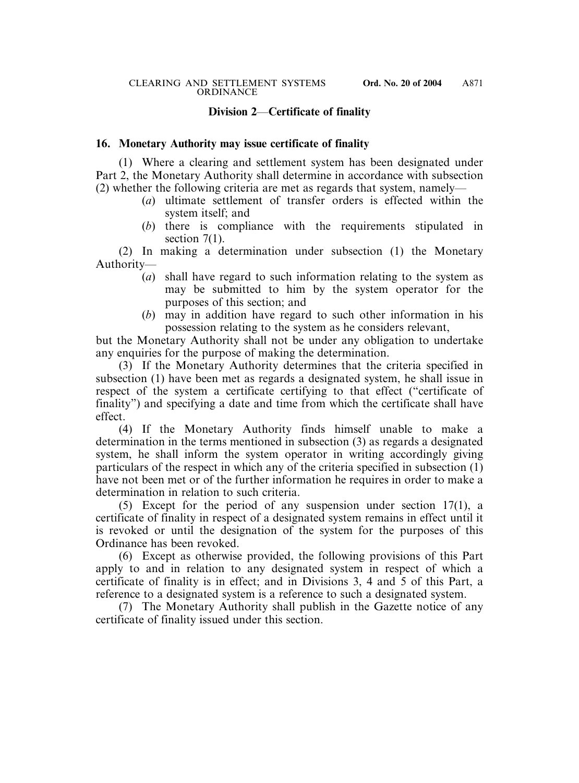#### **Division 2**—**Certificate of finality**

#### **16. Monetary Authority may issue certificate of finality**

(1) Where a clearing and settlement system has been designated under Part 2, the Monetary Authority shall determine in accordance with subsection (2) whether the following criteria are met as regards that system, namely—

- (*a*) ultimate settlement of transfer orders is effected within the system itself; and
- (*b*) there is compliance with the requirements stipulated in section 7(1).

(2) In making a determination under subsection (1) the Monetary Authority—

- (*a*) shall have regard to such information relating to the system as may be submitted to him by the system operator for the purposes of this section; and
- (*b*) may in addition have regard to such other information in his possession relating to the system as he considers relevant,

but the Monetary Authority shall not be under any obligation to undertake any enquiries for the purpose of making the determination.

(3) If the Monetary Authority determines that the criteria specified in subsection (1) have been met as regards a designated system, he shall issue in respect of the system a certificate certifying to that effect ("certificate of finality") and specifying a date and time from which the certificate shall have effect.

(4) If the Monetary Authority finds himself unable to make a determination in the terms mentioned in subsection (3) as regards a designated system, he shall inform the system operator in writing accordingly giving particulars of the respect in which any of the criteria specified in subsection (1) have not been met or of the further information he requires in order to make a determination in relation to such criteria.

(5) Except for the period of any suspension under section 17(1), a certificate of finality in respect of a designated system remains in effect until it is revoked or until the designation of the system for the purposes of this Ordinance has been revoked.

(6) Except as otherwise provided, the following provisions of this Part apply to and in relation to any designated system in respect of which a certificate of finality is in effect; and in Divisions 3, 4 and 5 of this Part, a reference to a designated system is a reference to such a designated system.

(7) The Monetary Authority shall publish in the Gazette notice of any certificate of finality issued under this section.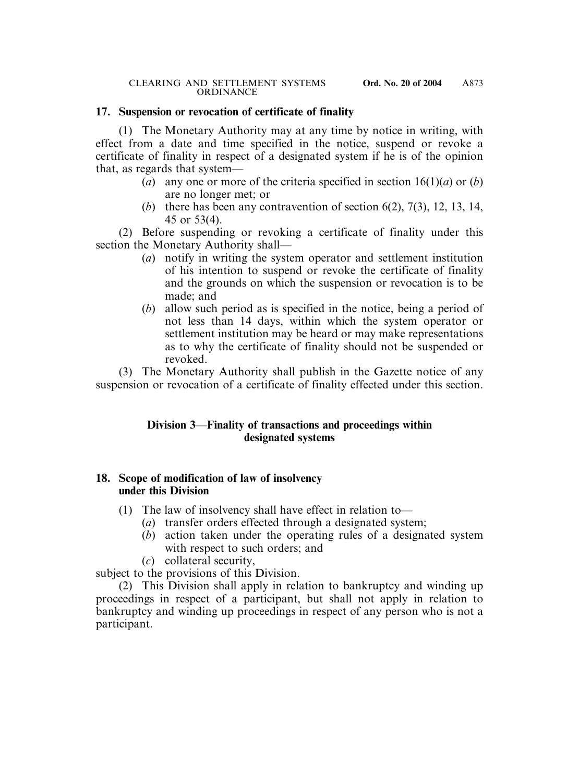### **17. Suspension or revocation of certificate of finality**

(1) The Monetary Authority may at any time by notice in writing, with effect from a date and time specified in the notice, suspend or revoke a certificate of finality in respect of a designated system if he is of the opinion that, as regards that system—

- (*a*) any one or more of the criteria specified in section  $16(1)(a)$  or (*b*) are no longer met; or
- (*b*) there has been any contravention of section 6(2), 7(3), 12, 13, 14, 45 or 53(4).

(2) Before suspending or revoking a certificate of finality under this section the Monetary Authority shall—

- (*a*) notify in writing the system operator and settlement institution of his intention to suspend or revoke the certificate of finality and the grounds on which the suspension or revocation is to be made; and
- (*b*) allow such period as is specified in the notice, being a period of not less than 14 days, within which the system operator or settlement institution may be heard or may make representations as to why the certificate of finality should not be suspended or revoked.

(3) The Monetary Authority shall publish in the Gazette notice of any suspension or revocation of a certificate of finality effected under this section.

# **Division 3**—**Finality of transactions and proceedings within designated systems**

## **18. Scope of modification of law of insolvency under this Division**

- (1) The law of insolvency shall have effect in relation to—
	- (*a*) transfer orders effected through a designated system;
	- (*b*) action taken under the operating rules of a designated system with respect to such orders; and
	- (*c*) collateral security,

subject to the provisions of this Division.

(2) This Division shall apply in relation to bankruptcy and winding up proceedings in respect of a participant, but shall not apply in relation to bankruptcy and winding up proceedings in respect of any person who is not a participant.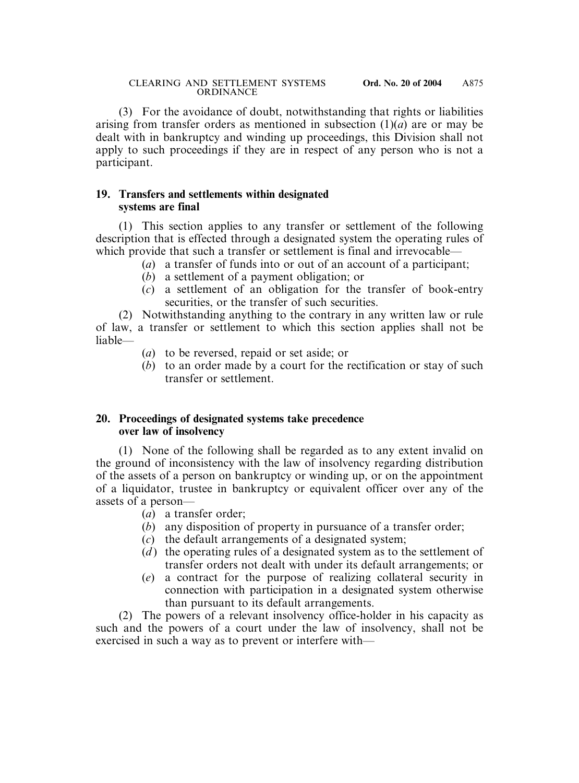(3) For the avoidance of doubt, notwithstanding that rights or liabilities arising from transfer orders as mentioned in subsection  $(1)(a)$  are or may be dealt with in bankruptcy and winding up proceedings, this Division shall not apply to such proceedings if they are in respect of any person who is not a participant.

#### **19. Transfers and settlements within designated systems are final**

(1) This section applies to any transfer or settlement of the following description that is effected through a designated system the operating rules of which provide that such a transfer or settlement is final and irrevocable—

- (*a*) a transfer of funds into or out of an account of a participant;
- (*b*) a settlement of a payment obligation; or
- (*c*) a settlement of an obligation for the transfer of book-entry securities, or the transfer of such securities.

(2) Notwithstanding anything to the contrary in any written law or rule of law, a transfer or settlement to which this section applies shall not be liable—

- (*a*) to be reversed, repaid or set aside; or
- (*b*) to an order made by a court for the rectification or stay of such transfer or settlement.

## **20. Proceedings of designated systems take precedence over law of insolvency**

(1) None of the following shall be regarded as to any extent invalid on the ground of inconsistency with the law of insolvency regarding distribution of the assets of a person on bankruptcy or winding up, or on the appointment of a liquidator, trustee in bankruptcy or equivalent officer over any of the assets of a person—

- (*a*) a transfer order;
- (*b*) any disposition of property in pursuance of a transfer order;
- (*c*) the default arrangements of a designated system;
- (*d*) the operating rules of a designated system as to the settlement of transfer orders not dealt with under its default arrangements; or
- (*e*) a contract for the purpose of realizing collateral security in connection with participation in a designated system otherwise than pursuant to its default arrangements.

(2) The powers of a relevant insolvency office-holder in his capacity as such and the powers of a court under the law of insolvency, shall not be exercised in such a way as to prevent or interfere with—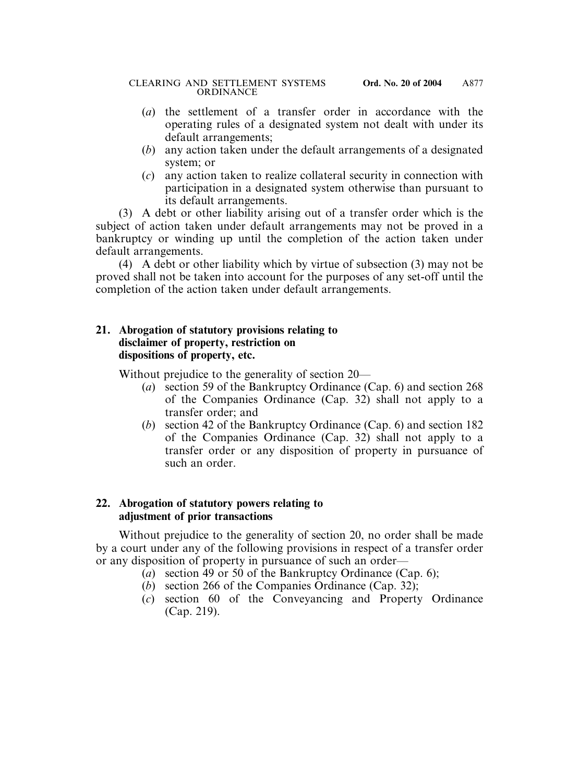- (*a*) the settlement of a transfer order in accordance with the operating rules of a designated system not dealt with under its default arrangements;
- (*b*) any action taken under the default arrangements of a designated system; or
- (*c*) any action taken to realize collateral security in connection with participation in a designated system otherwise than pursuant to its default arrangements.

(3) A debt or other liability arising out of a transfer order which is the subject of action taken under default arrangements may not be proved in a bankruptcy or winding up until the completion of the action taken under default arrangements.

(4) A debt or other liability which by virtue of subsection (3) may not be proved shall not be taken into account for the purposes of any set-off until the completion of the action taken under default arrangements.

# **21. Abrogation of statutory provisions relating to disclaimer of property, restriction on dispositions of property, etc.**

Without prejudice to the generality of section 20—

- (*a*) section 59 of the Bankruptcy Ordinance (Cap. 6) and section 268 of the Companies Ordinance (Cap. 32) shall not apply to a transfer order; and
- (*b*) section 42 of the Bankruptcy Ordinance (Cap. 6) and section 182 of the Companies Ordinance (Cap. 32) shall not apply to a transfer order or any disposition of property in pursuance of such an order.

# **22. Abrogation of statutory powers relating to adjustment of prior transactions**

Without prejudice to the generality of section 20, no order shall be made by a court under any of the following provisions in respect of a transfer order or any disposition of property in pursuance of such an order—

- (*a*) section 49 or 50 of the Bankruptcy Ordinance (Cap. 6);
- (*b*) section 266 of the Companies Ordinance (Cap. 32);
- (*c*) section 60 of the Conveyancing and Property Ordinance (Cap. 219).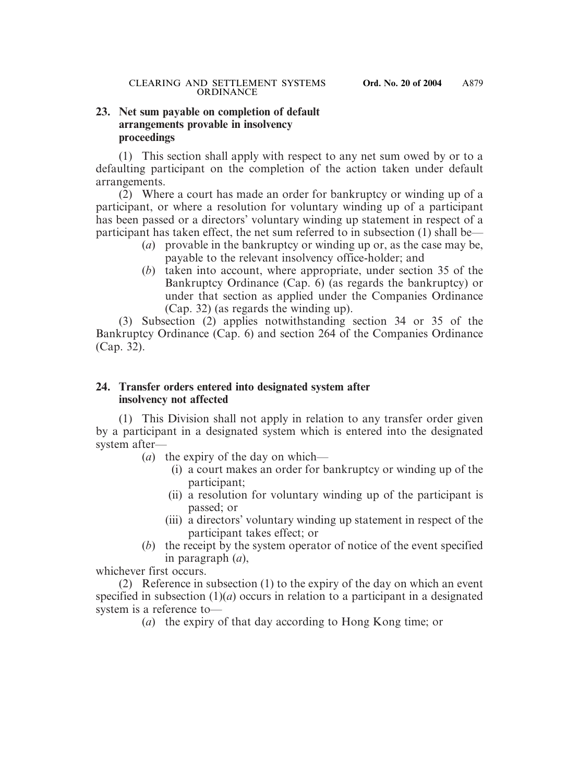## **23. Net sum payable on completion of default arrangements provable in insolvency proceedings**

(1) This section shall apply with respect to any net sum owed by or to a defaulting participant on the completion of the action taken under default arrangements.

(2) Where a court has made an order for bankruptcy or winding up of a participant, or where a resolution for voluntary winding up of a participant has been passed or a directors' voluntary winding up statement in respect of a participant has taken effect, the net sum referred to in subsection (1) shall be—

- (*a*) provable in the bankruptcy or winding up or, as the case may be, payable to the relevant insolvency office-holder; and
- (*b*) taken into account, where appropriate, under section 35 of the Bankruptcy Ordinance (Cap. 6) (as regards the bankruptcy) or under that section as applied under the Companies Ordinance (Cap. 32) (as regards the winding up).

(3) Subsection (2) applies notwithstanding section 34 or 35 of the Bankruptcy Ordinance (Cap. 6) and section 264 of the Companies Ordinance (Cap. 32).

## **24. Transfer orders entered into designated system after insolvency not affected**

(1) This Division shall not apply in relation to any transfer order given by a participant in a designated system which is entered into the designated system after—

- (*a*) the expiry of the day on which—
	- (i) a court makes an order for bankruptcy or winding up of the participant;
	- (ii) a resolution for voluntary winding up of the participant is passed; or
	- (iii) a directors' voluntary winding up statement in respect of the participant takes effect; or
- (*b*) the receipt by the system operator of notice of the event specified in paragraph (*a*),

whichever first occurs.

(2) Reference in subsection (1) to the expiry of the day on which an event specified in subsection  $(1)(a)$  occurs in relation to a participant in a designated system is a reference to—

(*a*) the expiry of that day according to Hong Kong time; or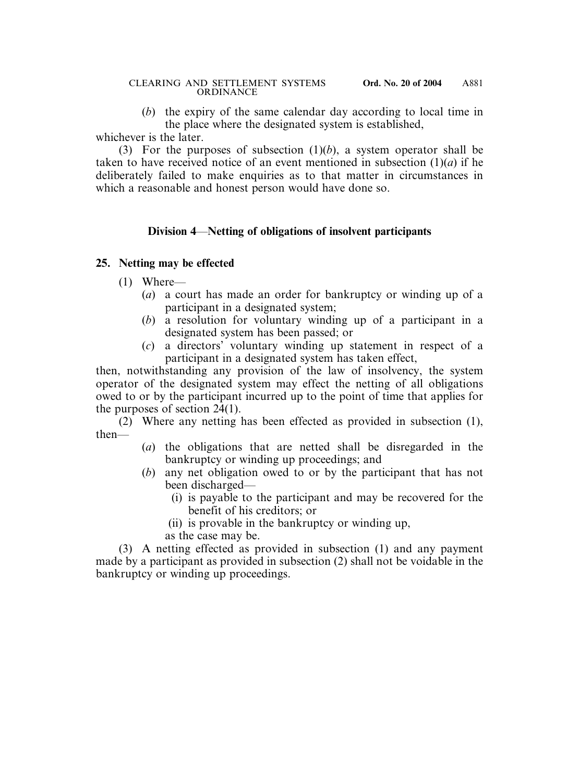(*b*) the expiry of the same calendar day according to local time in the place where the designated system is established,

whichever is the later.

(3) For the purposes of subsection  $(1)(b)$ , a system operator shall be taken to have received notice of an event mentioned in subsection  $(1)(a)$  if he deliberately failed to make enquiries as to that matter in circumstances in which a reasonable and honest person would have done so.

# **Division 4**—**Netting of obligations of insolvent participants**

# **25. Netting may be effected**

- (1) Where—
	- (*a*) a court has made an order for bankruptcy or winding up of a participant in a designated system;
	- (*b*) a resolution for voluntary winding up of a participant in a designated system has been passed; or
	- (*c*) a directors' voluntary winding up statement in respect of a participant in a designated system has taken effect,

then, notwithstanding any provision of the law of insolvency, the system operator of the designated system may effect the netting of all obligations owed to or by the participant incurred up to the point of time that applies for the purposes of section 24(1).

(2) Where any netting has been effected as provided in subsection (1), then—

- (*a*) the obligations that are netted shall be disregarded in the bankruptcy or winding up proceedings; and
- (*b*) any net obligation owed to or by the participant that has not been discharged—
	- (i) is payable to the participant and may be recovered for the benefit of his creditors; or
	- (ii) is provable in the bankruptcy or winding up,
	- as the case may be.

(3) A netting effected as provided in subsection (1) and any payment made by a participant as provided in subsection (2) shall not be voidable in the bankruptcy or winding up proceedings.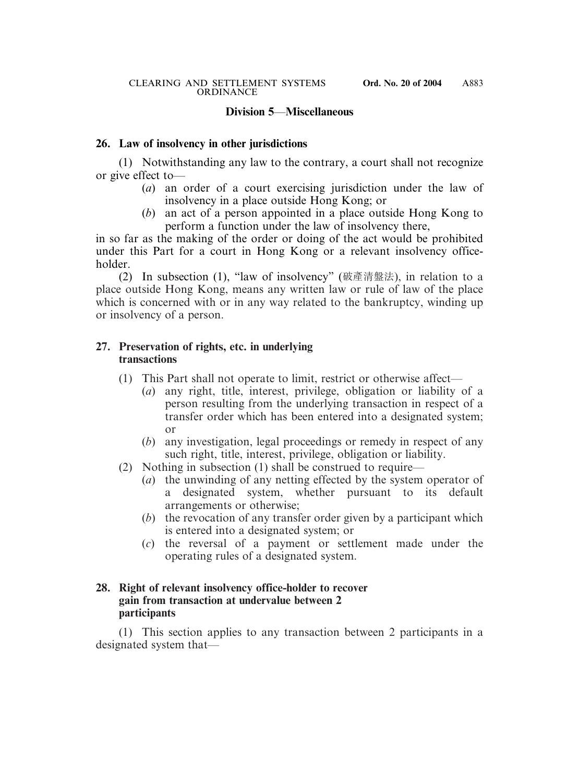## **Division 5**—**Miscellaneous**

#### **26. Law of insolvency in other jurisdictions**

(1) Notwithstanding any law to the contrary, a court shall not recognize or give effect to—

- (*a*) an order of a court exercising jurisdiction under the law of insolvency in a place outside Hong Kong; or
- (*b*) an act of a person appointed in a place outside Hong Kong to perform a function under the law of insolvency there,

in so far as the making of the order or doing of the act would be prohibited under this Part for a court in Hong Kong or a relevant insolvency officeholder.

(2) In subsection (1), "law of insolvency" (破產清盤法), in relation to a place outside Hong Kong, means any written law or rule of law of the place which is concerned with or in any way related to the bankruptcy, winding up or insolvency of a person.

# **27. Preservation of rights, etc. in underlying transactions**

- (1) This Part shall not operate to limit, restrict or otherwise affect—
	- (*a*) any right, title, interest, privilege, obligation or liability of a person resulting from the underlying transaction in respect of a transfer order which has been entered into a designated system; or
	- (*b*) any investigation, legal proceedings or remedy in respect of any such right, title, interest, privilege, obligation or liability.
- (2) Nothing in subsection (1) shall be construed to require—
	- (*a*) the unwinding of any netting effected by the system operator of a designated system, whether pursuant to its default arrangements or otherwise;
	- (*b*) the revocation of any transfer order given by a participant which is entered into a designated system; or
	- (*c*) the reversal of a payment or settlement made under the operating rules of a designated system.

#### **28. Right of relevant insolvency office-holder to recover gain from transaction at undervalue between 2 participants**

(1) This section applies to any transaction between 2 participants in a designated system that—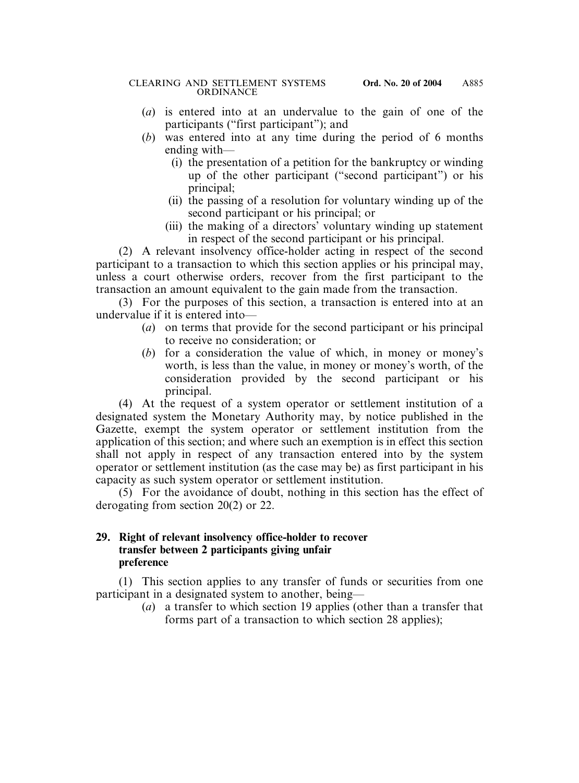- (*a*) is entered into at an undervalue to the gain of one of the participants ("first participant"); and
- (*b*) was entered into at any time during the period of 6 months ending with—
	- (i) the presentation of a petition for the bankruptcy or winding up of the other participant ("second participant") or his principal;
	- (ii) the passing of a resolution for voluntary winding up of the second participant or his principal; or
	- (iii) the making of a directors' voluntary winding up statement in respect of the second participant or his principal.

(2) A relevant insolvency office-holder acting in respect of the second participant to a transaction to which this section applies or his principal may, unless a court otherwise orders, recover from the first participant to the transaction an amount equivalent to the gain made from the transaction.

(3) For the purposes of this section, a transaction is entered into at an undervalue if it is entered into—

- (*a*) on terms that provide for the second participant or his principal to receive no consideration; or
- (*b*) for a consideration the value of which, in money or money's worth, is less than the value, in money or money's worth, of the consideration provided by the second participant or his principal.

(4) At the request of a system operator or settlement institution of a designated system the Monetary Authority may, by notice published in the Gazette, exempt the system operator or settlement institution from the application of this section; and where such an exemption is in effect this section shall not apply in respect of any transaction entered into by the system operator or settlement institution (as the case may be) as first participant in his capacity as such system operator or settlement institution.

(5) For the avoidance of doubt, nothing in this section has the effect of derogating from section 20(2) or 22.

## **29. Right of relevant insolvency office-holder to recover transfer between 2 participants giving unfair preference**

(1) This section applies to any transfer of funds or securities from one participant in a designated system to another, being—

(*a*) a transfer to which section 19 applies (other than a transfer that forms part of a transaction to which section 28 applies);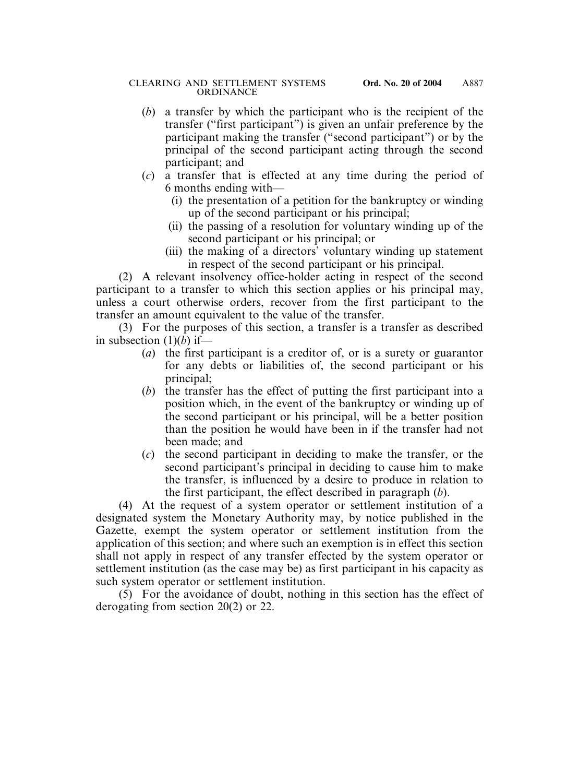- (*b*) a transfer by which the participant who is the recipient of the transfer ("first participant") is given an unfair preference by the participant making the transfer ("second participant") or by the principal of the second participant acting through the second participant; and
- (*c*) a transfer that is effected at any time during the period of 6 months ending with—
	- (i) the presentation of a petition for the bankruptcy or winding up of the second participant or his principal;
	- (ii) the passing of a resolution for voluntary winding up of the second participant or his principal; or
	- (iii) the making of a directors' voluntary winding up statement in respect of the second participant or his principal.

(2) A relevant insolvency office-holder acting in respect of the second participant to a transfer to which this section applies or his principal may, unless a court otherwise orders, recover from the first participant to the transfer an amount equivalent to the value of the transfer.

(3) For the purposes of this section, a transfer is a transfer as described in subsection  $(1)(b)$  if—

- (*a*) the first participant is a creditor of, or is a surety or guarantor for any debts or liabilities of, the second participant or his principal;
- (*b*) the transfer has the effect of putting the first participant into a position which, in the event of the bankruptcy or winding up of the second participant or his principal, will be a better position than the position he would have been in if the transfer had not been made; and
- (*c*) the second participant in deciding to make the transfer, or the second participant's principal in deciding to cause him to make the transfer, is influenced by a desire to produce in relation to the first participant, the effect described in paragraph (*b*).

(4) At the request of a system operator or settlement institution of a designated system the Monetary Authority may, by notice published in the Gazette, exempt the system operator or settlement institution from the application of this section; and where such an exemption is in effect this section shall not apply in respect of any transfer effected by the system operator or settlement institution (as the case may be) as first participant in his capacity as such system operator or settlement institution.

(5) For the avoidance of doubt, nothing in this section has the effect of derogating from section 20(2) or 22.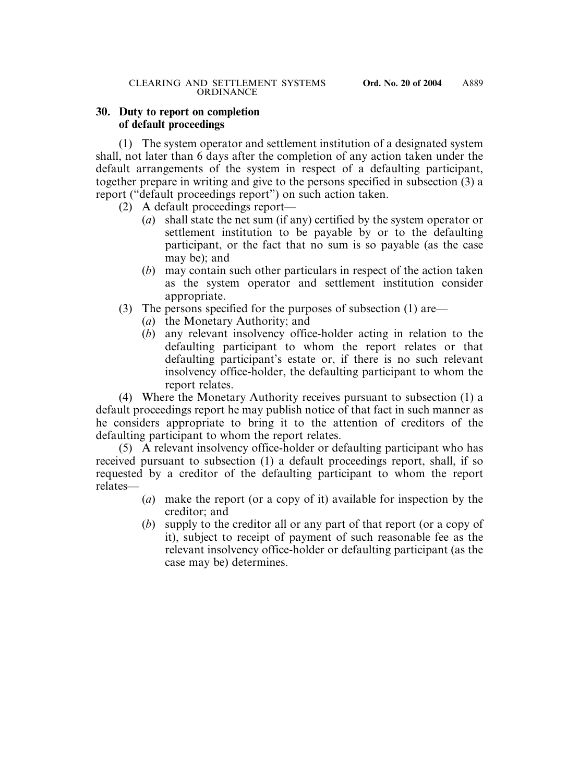### **30. Duty to report on completion of default proceedings**

(1) The system operator and settlement institution of a designated system shall, not later than 6 days after the completion of any action taken under the default arrangements of the system in respect of a defaulting participant, together prepare in writing and give to the persons specified in subsection (3) a report ("default proceedings report") on such action taken.

- (2) A default proceedings report—
	- (*a*) shall state the net sum (if any) certified by the system operator or settlement institution to be payable by or to the defaulting participant, or the fact that no sum is so payable (as the case may be); and
	- (*b*) may contain such other particulars in respect of the action taken as the system operator and settlement institution consider appropriate.
- (3) The persons specified for the purposes of subsection (1) are—
	- (*a*) the Monetary Authority; and
	- (*b*) any relevant insolvency office-holder acting in relation to the defaulting participant to whom the report relates or that defaulting participant's estate or, if there is no such relevant insolvency office-holder, the defaulting participant to whom the report relates.

(4) Where the Monetary Authority receives pursuant to subsection (1) a default proceedings report he may publish notice of that fact in such manner as he considers appropriate to bring it to the attention of creditors of the defaulting participant to whom the report relates.

(5) A relevant insolvency office-holder or defaulting participant who has received pursuant to subsection (1) a default proceedings report, shall, if so requested by a creditor of the defaulting participant to whom the report relates—

- (*a*) make the report (or a copy of it) available for inspection by the creditor; and
- (*b*) supply to the creditor all or any part of that report (or a copy of it), subject to receipt of payment of such reasonable fee as the relevant insolvency office-holder or defaulting participant (as the case may be) determines.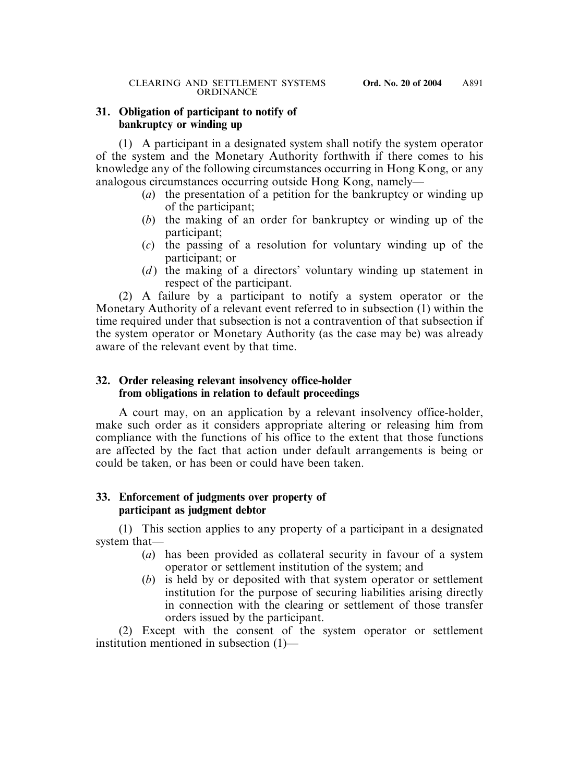## **31. Obligation of participant to notify of bankruptcy or winding up**

(1) A participant in a designated system shall notify the system operator of the system and the Monetary Authority forthwith if there comes to his knowledge any of the following circumstances occurring in Hong Kong, or any analogous circumstances occurring outside Hong Kong, namely—

- (*a*) the presentation of a petition for the bankruptcy or winding up of the participant;
- (*b*) the making of an order for bankruptcy or winding up of the participant;
- (*c*) the passing of a resolution for voluntary winding up of the participant; or
- (*d*) the making of a directors' voluntary winding up statement in respect of the participant.

(2) A failure by a participant to notify a system operator or the Monetary Authority of a relevant event referred to in subsection (1) within the time required under that subsection is not a contravention of that subsection if the system operator or Monetary Authority (as the case may be) was already aware of the relevant event by that time.

# **32. Order releasing relevant insolvency office-holder from obligations in relation to default proceedings**

A court may, on an application by a relevant insolvency office-holder, make such order as it considers appropriate altering or releasing him from compliance with the functions of his office to the extent that those functions are affected by the fact that action under default arrangements is being or could be taken, or has been or could have been taken.

## **33. Enforcement of judgments over property of participant as judgment debtor**

(1) This section applies to any property of a participant in a designated system that—

- (*a*) has been provided as collateral security in favour of a system operator or settlement institution of the system; and
- (*b*) is held by or deposited with that system operator or settlement institution for the purpose of securing liabilities arising directly in connection with the clearing or settlement of those transfer orders issued by the participant.

(2) Except with the consent of the system operator or settlement institution mentioned in subsection (1)—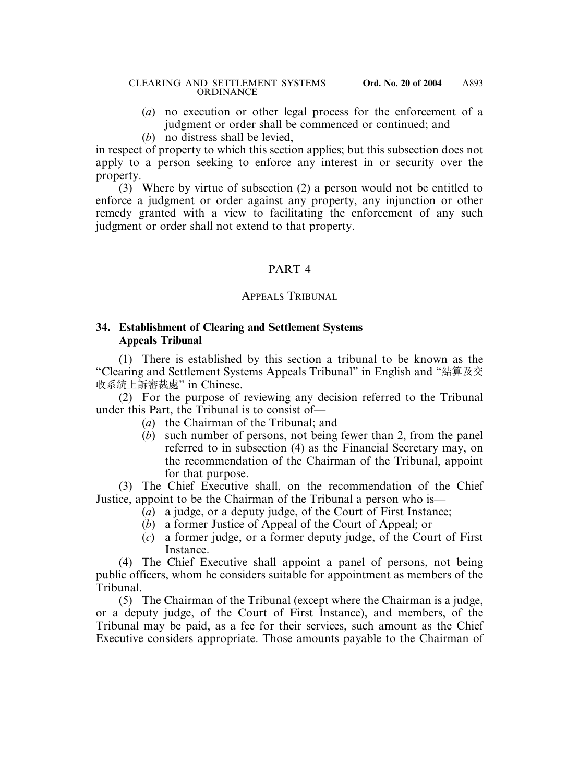- (*a*) no execution or other legal process for the enforcement of a judgment or order shall be commenced or continued; and
- (*b*) no distress shall be levied,

in respect of property to which this section applies; but this subsection does not apply to a person seeking to enforce any interest in or security over the property.

(3) Where by virtue of subsection (2) a person would not be entitled to enforce a judgment or order against any property, any injunction or other remedy granted with a view to facilitating the enforcement of any such judgment or order shall not extend to that property.

## PART 4

#### APPEALS TRIBUNAL

## **34. Establishment of Clearing and Settlement Systems Appeals Tribunal**

(1) There is established by this section a tribunal to be known as the "Clearing and Settlement Systems Appeals Tribunal" in English and "結算及交 收系統上訴審裁處" in Chinese.

(2) For the purpose of reviewing any decision referred to the Tribunal under this Part, the Tribunal is to consist of—

- (*a*) the Chairman of the Tribunal; and
- (*b*) such number of persons, not being fewer than 2, from the panel referred to in subsection (4) as the Financial Secretary may, on the recommendation of the Chairman of the Tribunal, appoint for that purpose.

(3) The Chief Executive shall, on the recommendation of the Chief Justice, appoint to be the Chairman of the Tribunal a person who is—

- (*a*) a judge, or a deputy judge, of the Court of First Instance;
- (*b*) a former Justice of Appeal of the Court of Appeal; or
- (*c*) a former judge, or a former deputy judge, of the Court of First Instance.

(4) The Chief Executive shall appoint a panel of persons, not being public officers, whom he considers suitable for appointment as members of the Tribunal.

(5) The Chairman of the Tribunal (except where the Chairman is a judge, or a deputy judge, of the Court of First Instance), and members, of the Tribunal may be paid, as a fee for their services, such amount as the Chief Executive considers appropriate. Those amounts payable to the Chairman of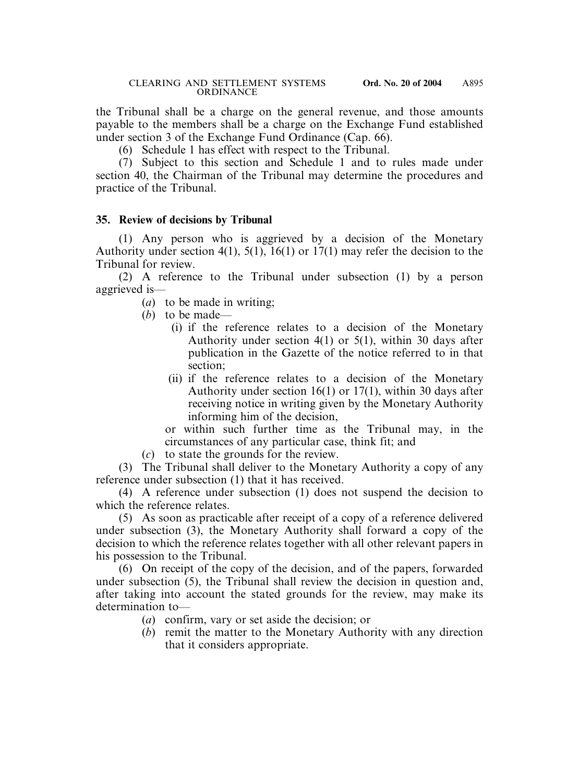the Tribunal shall be a charge on the general revenue, and those amounts payable to the members shall be a charge on the Exchange Fund established under section 3 of the Exchange Fund Ordinance (Cap. 66).

(6) Schedule 1 has effect with respect to the Tribunal.

(7) Subject to this section and Schedule 1 and to rules made under section 40, the Chairman of the Tribunal may determine the procedures and practice of the Tribunal.

## **35. Review of decisions by Tribunal**

(1) Any person who is aggrieved by a decision of the Monetary Authority under section 4(1), 5(1), 16(1) or 17(1) may refer the decision to the Tribunal for review.

(2) A reference to the Tribunal under subsection (1) by a person aggrieved is—

(*a*) to be made in writing;

- (*b*) to be made—
	- (i) if the reference relates to a decision of the Monetary Authority under section 4(1) or 5(1), within 30 days after publication in the Gazette of the notice referred to in that section;
	- (ii) if the reference relates to a decision of the Monetary Authority under section 16(1) or 17(1), within 30 days after receiving notice in writing given by the Monetary Authority informing him of the decision,

or within such further time as the Tribunal may, in the circumstances of any particular case, think fit; and

(*c*) to state the grounds for the review.

(3) The Tribunal shall deliver to the Monetary Authority a copy of any reference under subsection (1) that it has received.

(4) A reference under subsection (1) does not suspend the decision to which the reference relates.

(5) As soon as practicable after receipt of a copy of a reference delivered under subsection (3), the Monetary Authority shall forward a copy of the decision to which the reference relates together with all other relevant papers in his possession to the Tribunal.

(6) On receipt of the copy of the decision, and of the papers, forwarded under subsection (5), the Tribunal shall review the decision in question and, after taking into account the stated grounds for the review, may make its determination to—

- (*a*) confirm, vary or set aside the decision; or
- (*b*) remit the matter to the Monetary Authority with any direction that it considers appropriate.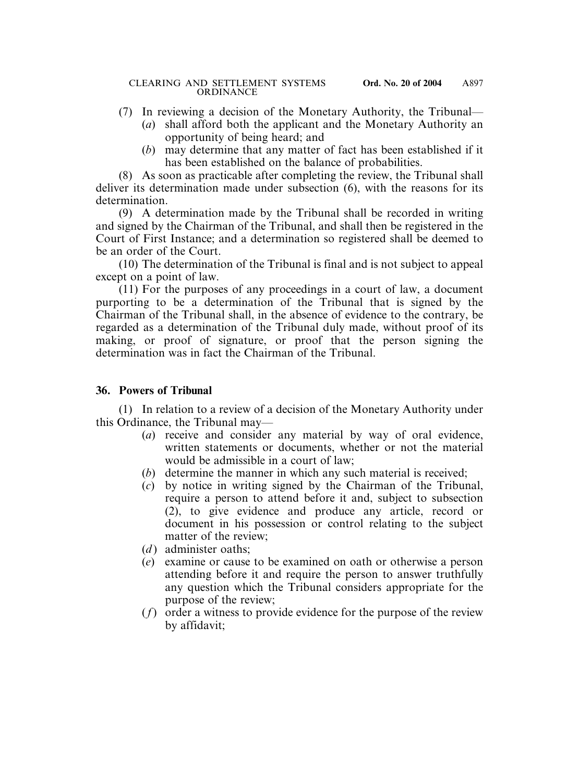(7) In reviewing a decision of the Monetary Authority, the Tribunal—

- (*a*) shall afford both the applicant and the Monetary Authority an opportunity of being heard; and
- (*b*) may determine that any matter of fact has been established if it has been established on the balance of probabilities.

(8) As soon as practicable after completing the review, the Tribunal shall deliver its determination made under subsection (6), with the reasons for its determination.

(9) A determination made by the Tribunal shall be recorded in writing and signed by the Chairman of the Tribunal, and shall then be registered in the Court of First Instance; and a determination so registered shall be deemed to be an order of the Court.

(10) The determination of the Tribunal is final and is not subject to appeal except on a point of law.

(11) For the purposes of any proceedings in a court of law, a document purporting to be a determination of the Tribunal that is signed by the Chairman of the Tribunal shall, in the absence of evidence to the contrary, be regarded as a determination of the Tribunal duly made, without proof of its making, or proof of signature, or proof that the person signing the determination was in fact the Chairman of the Tribunal.

# **36. Powers of Tribunal**

(1) In relation to a review of a decision of the Monetary Authority under this Ordinance, the Tribunal may—

- (*a*) receive and consider any material by way of oral evidence, written statements or documents, whether or not the material would be admissible in a court of law;
- (*b*) determine the manner in which any such material is received;
- (*c*) by notice in writing signed by the Chairman of the Tribunal, require a person to attend before it and, subject to subsection (2), to give evidence and produce any article, record or document in his possession or control relating to the subject matter of the review;
- (*d*) administer oaths:
- (*e*) examine or cause to be examined on oath or otherwise a person attending before it and require the person to answer truthfully any question which the Tribunal considers appropriate for the purpose of the review;
- (*f*) order a witness to provide evidence for the purpose of the review by affidavit;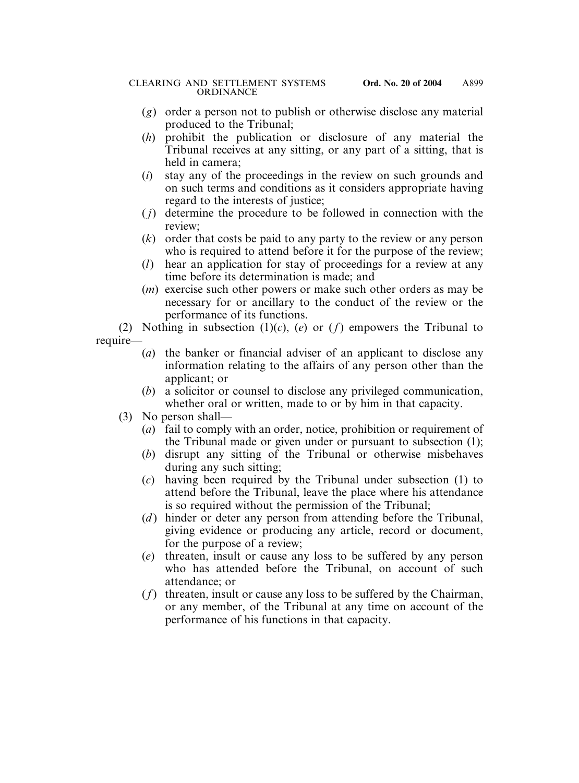- (*g*) order a person not to publish or otherwise disclose any material produced to the Tribunal;
- (*h*) prohibit the publication or disclosure of any material the Tribunal receives at any sitting, or any part of a sitting, that is held in camera;
- (*i*) stay any of the proceedings in the review on such grounds and on such terms and conditions as it considers appropriate having regard to the interests of justice;
- (*j*) determine the procedure to be followed in connection with the review;
- (*k*) order that costs be paid to any party to the review or any person who is required to attend before it for the purpose of the review;
- (*l*) hear an application for stay of proceedings for a review at any time before its determination is made; and
- (*m*) exercise such other powers or make such other orders as may be necessary for or ancillary to the conduct of the review or the performance of its functions.

(2) Nothing in subsection (1)(*c*), (*e*) or (*f*) empowers the Tribunal to require—

- (*a*) the banker or financial adviser of an applicant to disclose any information relating to the affairs of any person other than the applicant; or
- (*b*) a solicitor or counsel to disclose any privileged communication, whether oral or written, made to or by him in that capacity.
- (3) No person shall—
	- (*a*) fail to comply with an order, notice, prohibition or requirement of the Tribunal made or given under or pursuant to subsection (1);
	- (*b*) disrupt any sitting of the Tribunal or otherwise misbehaves during any such sitting;
	- (*c*) having been required by the Tribunal under subsection (1) to attend before the Tribunal, leave the place where his attendance is so required without the permission of the Tribunal;
	- (*d*) hinder or deter any person from attending before the Tribunal, giving evidence or producing any article, record or document, for the purpose of a review;
	- (*e*) threaten, insult or cause any loss to be suffered by any person who has attended before the Tribunal, on account of such attendance; or
	- (*f*) threaten, insult or cause any loss to be suffered by the Chairman, or any member, of the Tribunal at any time on account of the performance of his functions in that capacity.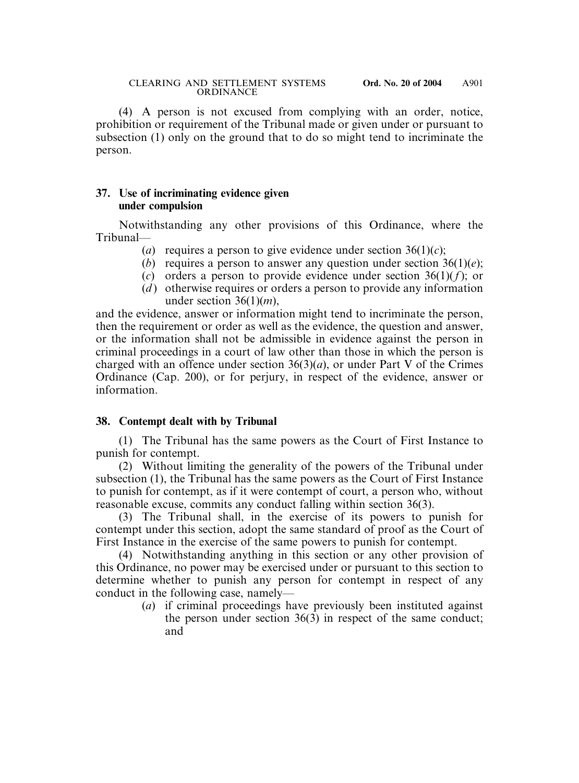(4) A person is not excused from complying with an order, notice, prohibition or requirement of the Tribunal made or given under or pursuant to subsection (1) only on the ground that to do so might tend to incriminate the person.

#### **37. Use of incriminating evidence given under compulsion**

Notwithstanding any other provisions of this Ordinance, where the Tribunal—

- (*a*) requires a person to give evidence under section  $36(1)(c)$ ;
- (*b*) requires a person to answer any question under section 36(1)(*e*);
- (*c*) orders a person to provide evidence under section 36(1)(*f*); or
- (*d*) otherwise requires or orders a person to provide any information under section 36(1)(*m*),

and the evidence, answer or information might tend to incriminate the person, then the requirement or order as well as the evidence, the question and answer, or the information shall not be admissible in evidence against the person in criminal proceedings in a court of law other than those in which the person is charged with an offence under section 36(3)(*a*), or under Part V of the Crimes Ordinance (Cap. 200), or for perjury, in respect of the evidence, answer or information.

# **38. Contempt dealt with by Tribunal**

(1) The Tribunal has the same powers as the Court of First Instance to punish for contempt.

(2) Without limiting the generality of the powers of the Tribunal under subsection (1), the Tribunal has the same powers as the Court of First Instance to punish for contempt, as if it were contempt of court, a person who, without reasonable excuse, commits any conduct falling within section 36(3).

(3) The Tribunal shall, in the exercise of its powers to punish for contempt under this section, adopt the same standard of proof as the Court of First Instance in the exercise of the same powers to punish for contempt.

(4) Notwithstanding anything in this section or any other provision of this Ordinance, no power may be exercised under or pursuant to this section to determine whether to punish any person for contempt in respect of any conduct in the following case, namely—

> (*a*) if criminal proceedings have previously been instituted against the person under section 36(3) in respect of the same conduct; and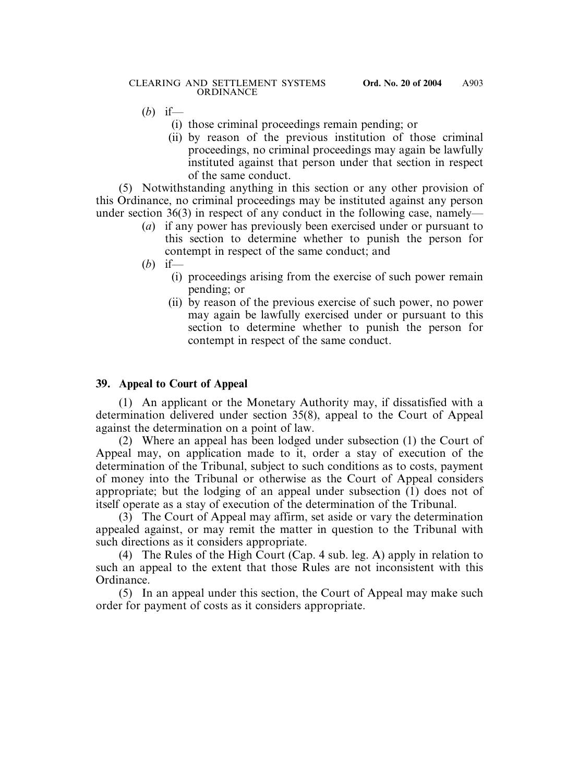- (*b*) if—
	- (i) those criminal proceedings remain pending; or
	- (ii) by reason of the previous institution of those criminal proceedings, no criminal proceedings may again be lawfully instituted against that person under that section in respect of the same conduct.

(5) Notwithstanding anything in this section or any other provision of this Ordinance, no criminal proceedings may be instituted against any person under section 36(3) in respect of any conduct in the following case, namely—

- (*a*) if any power has previously been exercised under or pursuant to this section to determine whether to punish the person for contempt in respect of the same conduct; and
- (*b*) if—
	- (i) proceedings arising from the exercise of such power remain pending; or
	- (ii) by reason of the previous exercise of such power, no power may again be lawfully exercised under or pursuant to this section to determine whether to punish the person for contempt in respect of the same conduct.

# **39. Appeal to Court of Appeal**

(1) An applicant or the Monetary Authority may, if dissatisfied with a determination delivered under section 35(8), appeal to the Court of Appeal against the determination on a point of law.

(2) Where an appeal has been lodged under subsection (1) the Court of Appeal may, on application made to it, order a stay of execution of the determination of the Tribunal, subject to such conditions as to costs, payment of money into the Tribunal or otherwise as the Court of Appeal considers appropriate; but the lodging of an appeal under subsection (1) does not of itself operate as a stay of execution of the determination of the Tribunal.

(3) The Court of Appeal may affirm, set aside or vary the determination appealed against, or may remit the matter in question to the Tribunal with such directions as it considers appropriate.

(4) The Rules of the High Court (Cap. 4 sub. leg. A) apply in relation to such an appeal to the extent that those Rules are not inconsistent with this Ordinance.

(5) In an appeal under this section, the Court of Appeal may make such order for payment of costs as it considers appropriate.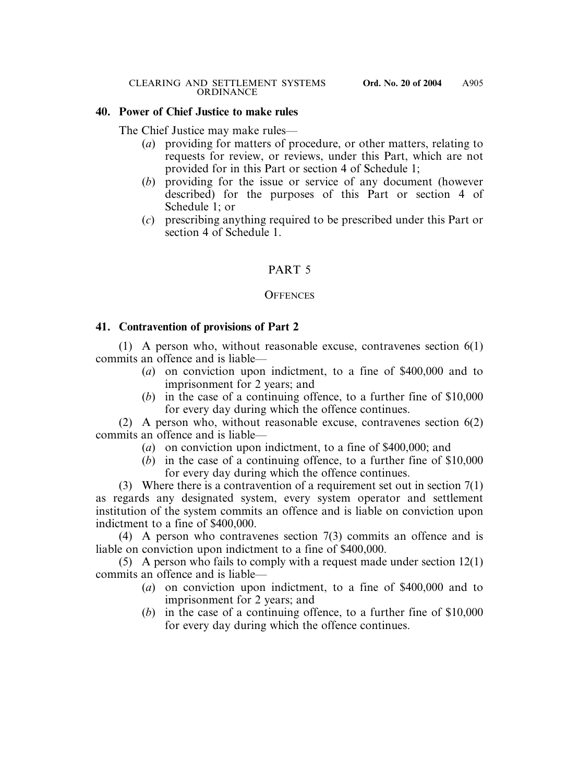#### **40. Power of Chief Justice to make rules**

The Chief Justice may make rules—

- (*a*) providing for matters of procedure, or other matters, relating to requests for review, or reviews, under this Part, which are not provided for in this Part or section 4 of Schedule 1;
- (*b*) providing for the issue or service of any document (however described) for the purposes of this Part or section 4 of Schedule 1; or
- (*c*) prescribing anything required to be prescribed under this Part or section 4 of Schedule 1.

# PART 5

#### **OFFENCES**

## **41. Contravention of provisions of Part 2**

(1) A person who, without reasonable excuse, contravenes section 6(1) commits an offence and is liable—

- (*a*) on conviction upon indictment, to a fine of \$400,000 and to imprisonment for 2 years; and
- (*b*) in the case of a continuing offence, to a further fine of \$10,000 for every day during which the offence continues.

(2) A person who, without reasonable excuse, contravenes section 6(2) commits an offence and is liable—

- (*a*) on conviction upon indictment, to a fine of \$400,000; and
- (*b*) in the case of a continuing offence, to a further fine of \$10,000 for every day during which the offence continues.

(3) Where there is a contravention of a requirement set out in section 7(1) as regards any designated system, every system operator and settlement institution of the system commits an offence and is liable on conviction upon indictment to a fine of \$400,000.

(4) A person who contravenes section 7(3) commits an offence and is liable on conviction upon indictment to a fine of \$400,000.

(5) A person who fails to comply with a request made under section 12(1) commits an offence and is liable—

- (*a*) on conviction upon indictment, to a fine of \$400,000 and to imprisonment for 2 years; and
- (*b*) in the case of a continuing offence, to a further fine of \$10,000 for every day during which the offence continues.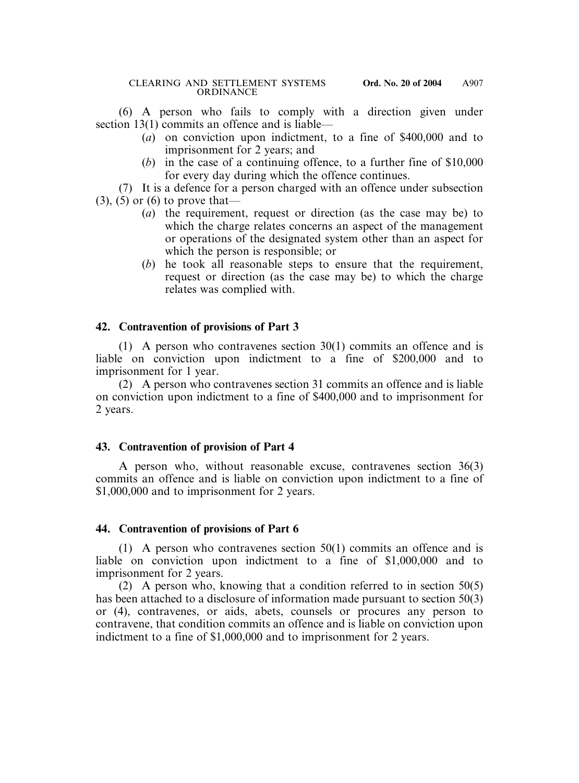(6) A person who fails to comply with a direction given under section 13(1) commits an offence and is liable—

- (*a*) on conviction upon indictment, to a fine of \$400,000 and to imprisonment for 2 years; and
- (*b*) in the case of a continuing offence, to a further fine of \$10,000 for every day during which the offence continues.

(7) It is a defence for a person charged with an offence under subsection

- $(3)$ ,  $(5)$  or  $(6)$  to prove that—
	- (*a*) the requirement, request or direction (as the case may be) to which the charge relates concerns an aspect of the management or operations of the designated system other than an aspect for which the person is responsible; or
	- (*b*) he took all reasonable steps to ensure that the requirement, request or direction (as the case may be) to which the charge relates was complied with.

# **42. Contravention of provisions of Part 3**

(1) A person who contravenes section 30(1) commits an offence and is liable on conviction upon indictment to a fine of \$200,000 and to imprisonment for 1 year.

(2) A person who contravenes section 31 commits an offence and is liable on conviction upon indictment to a fine of \$400,000 and to imprisonment for 2 years.

# **43. Contravention of provision of Part 4**

A person who, without reasonable excuse, contravenes section 36(3) commits an offence and is liable on conviction upon indictment to a fine of \$1,000,000 and to imprisonment for 2 years.

# **44. Contravention of provisions of Part 6**

(1) A person who contravenes section 50(1) commits an offence and is liable on conviction upon indictment to a fine of \$1,000,000 and to imprisonment for 2 years.

(2) A person who, knowing that a condition referred to in section 50(5) has been attached to a disclosure of information made pursuant to section 50(3) or (4), contravenes, or aids, abets, counsels or procures any person to contravene, that condition commits an offence and is liable on conviction upon indictment to a fine of \$1,000,000 and to imprisonment for 2 years.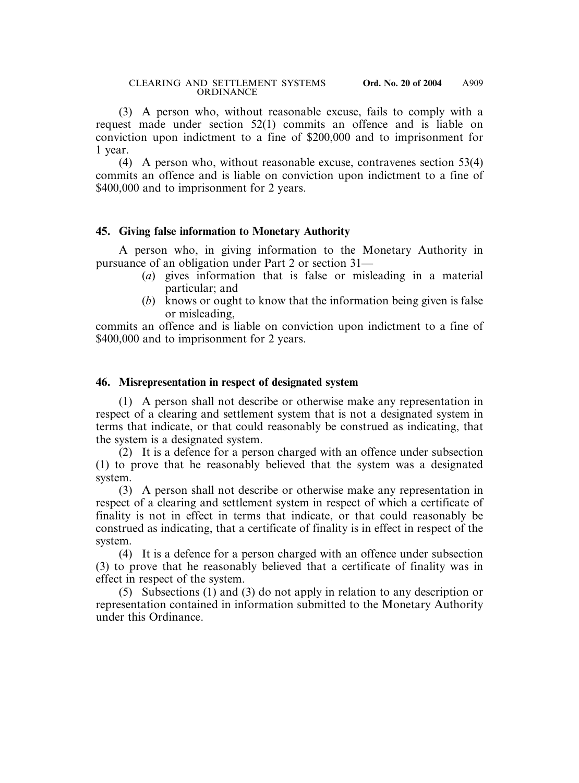(3) A person who, without reasonable excuse, fails to comply with a request made under section 52(1) commits an offence and is liable on conviction upon indictment to a fine of \$200,000 and to imprisonment for 1 year.

(4) A person who, without reasonable excuse, contravenes section 53(4) commits an offence and is liable on conviction upon indictment to a fine of \$400,000 and to imprisonment for 2 years.

#### **45. Giving false information to Monetary Authority**

A person who, in giving information to the Monetary Authority in pursuance of an obligation under Part 2 or section 31—

- (*a*) gives information that is false or misleading in a material particular; and
- (*b*) knows or ought to know that the information being given is false or misleading,

commits an offence and is liable on conviction upon indictment to a fine of \$400,000 and to imprisonment for 2 years.

## **46. Misrepresentation in respect of designated system**

(1) A person shall not describe or otherwise make any representation in respect of a clearing and settlement system that is not a designated system in terms that indicate, or that could reasonably be construed as indicating, that the system is a designated system.

(2) It is a defence for a person charged with an offence under subsection (1) to prove that he reasonably believed that the system was a designated system.

(3) A person shall not describe or otherwise make any representation in respect of a clearing and settlement system in respect of which a certificate of finality is not in effect in terms that indicate, or that could reasonably be construed as indicating, that a certificate of finality is in effect in respect of the system.

(4) It is a defence for a person charged with an offence under subsection (3) to prove that he reasonably believed that a certificate of finality was in effect in respect of the system.

(5) Subsections (1) and (3) do not apply in relation to any description or representation contained in information submitted to the Monetary Authority under this Ordinance.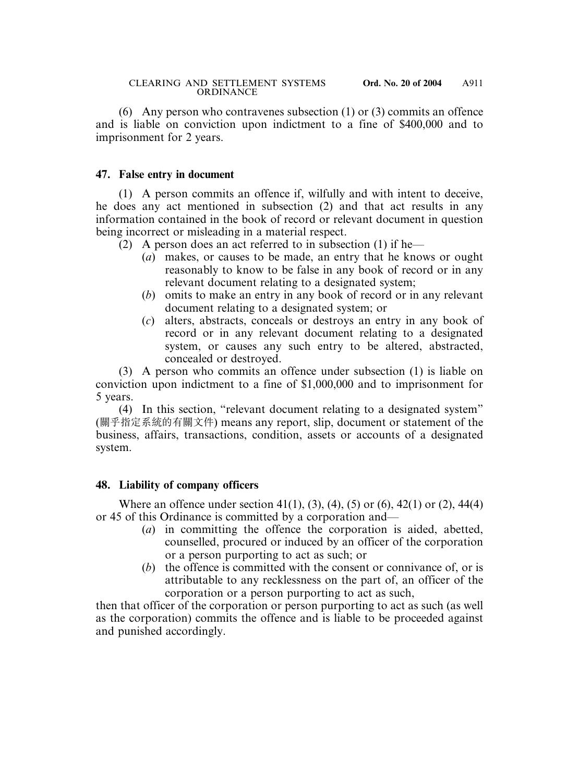(6) Any person who contravenes subsection (1) or (3) commits an offence and is liable on conviction upon indictment to a fine of \$400,000 and to imprisonment for 2 years.

# **47. False entry in document**

(1) A person commits an offence if, wilfully and with intent to deceive, he does any act mentioned in subsection (2) and that act results in any information contained in the book of record or relevant document in question being incorrect or misleading in a material respect.

- (2) A person does an act referred to in subsection (1) if he—
	- (*a*) makes, or causes to be made, an entry that he knows or ought reasonably to know to be false in any book of record or in any relevant document relating to a designated system;
	- (*b*) omits to make an entry in any book of record or in any relevant document relating to a designated system; or
	- (*c*) alters, abstracts, conceals or destroys an entry in any book of record or in any relevant document relating to a designated system, or causes any such entry to be altered, abstracted, concealed or destroyed.

(3) A person who commits an offence under subsection (1) is liable on conviction upon indictment to a fine of \$1,000,000 and to imprisonment for 5 years.

(4) In this section, "relevant document relating to a designated system" (關乎指定系統的有關文件) means any report, slip, document or statement of the business, affairs, transactions, condition, assets or accounts of a designated system.

# **48. Liability of company officers**

Where an offence under section 41(1), (3), (4), (5) or (6), 42(1) or (2), 44(4) or 45 of this Ordinance is committed by a corporation and—

- (*a*) in committing the offence the corporation is aided, abetted, counselled, procured or induced by an officer of the corporation or a person purporting to act as such; or
- (*b*) the offence is committed with the consent or connivance of, or is attributable to any recklessness on the part of, an officer of the corporation or a person purporting to act as such,

then that officer of the corporation or person purporting to act as such (as well as the corporation) commits the offence and is liable to be proceeded against and punished accordingly.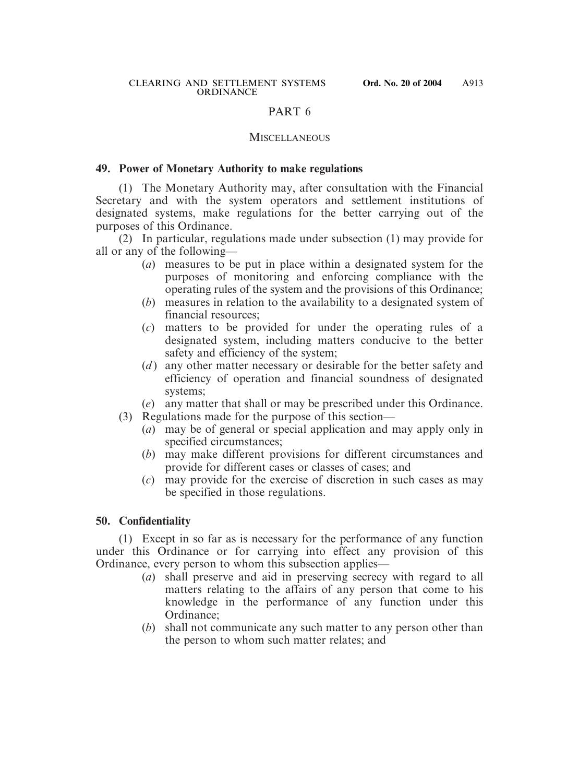## PART 6

#### **MISCELLANEOUS**

#### **49. Power of Monetary Authority to make regulations**

(1) The Monetary Authority may, after consultation with the Financial Secretary and with the system operators and settlement institutions of designated systems, make regulations for the better carrying out of the purposes of this Ordinance.

(2) In particular, regulations made under subsection (1) may provide for all or any of the following—

- (*a*) measures to be put in place within a designated system for the purposes of monitoring and enforcing compliance with the operating rules of the system and the provisions of this Ordinance;
- (*b*) measures in relation to the availability to a designated system of financial resources;
- (*c*) matters to be provided for under the operating rules of a designated system, including matters conducive to the better safety and efficiency of the system;
- (*d*) any other matter necessary or desirable for the better safety and efficiency of operation and financial soundness of designated systems;
- (*e*) any matter that shall or may be prescribed under this Ordinance.
- (3) Regulations made for the purpose of this section—
	- (*a*) may be of general or special application and may apply only in specified circumstances;
	- (*b*) may make different provisions for different circumstances and provide for different cases or classes of cases; and
	- (*c*) may provide for the exercise of discretion in such cases as may be specified in those regulations.

#### **50. Confidentiality**

(1) Except in so far as is necessary for the performance of any function under this Ordinance or for carrying into effect any provision of this Ordinance, every person to whom this subsection applies—

- (*a*) shall preserve and aid in preserving secrecy with regard to all matters relating to the affairs of any person that come to his knowledge in the performance of any function under this Ordinance;
- (*b*) shall not communicate any such matter to any person other than the person to whom such matter relates; and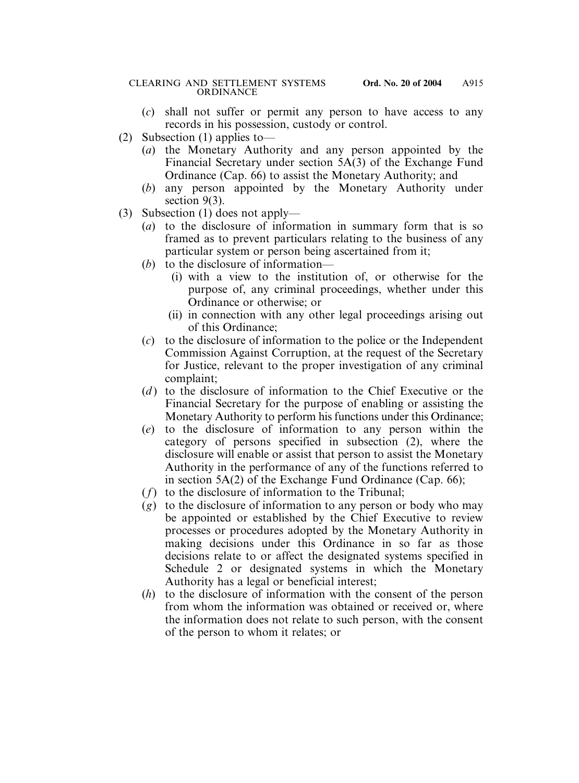- (*c*) shall not suffer or permit any person to have access to any records in his possession, custody or control.
- (2) Subsection (1) applies to—
	- (*a*) the Monetary Authority and any person appointed by the Financial Secretary under section 5A(3) of the Exchange Fund Ordinance (Cap. 66) to assist the Monetary Authority; and
	- (*b*) any person appointed by the Monetary Authority under section 9(3).
- (3) Subsection (1) does not apply—
	- (*a*) to the disclosure of information in summary form that is so framed as to prevent particulars relating to the business of any particular system or person being ascertained from it;
	- (*b*) to the disclosure of information—
		- (i) with a view to the institution of, or otherwise for the purpose of, any criminal proceedings, whether under this Ordinance or otherwise; or
		- (ii) in connection with any other legal proceedings arising out of this Ordinance;
	- (*c*) to the disclosure of information to the police or the Independent Commission Against Corruption, at the request of the Secretary for Justice, relevant to the proper investigation of any criminal complaint;
	- (*d*) to the disclosure of information to the Chief Executive or the Financial Secretary for the purpose of enabling or assisting the Monetary Authority to perform his functions under this Ordinance;
	- (*e*) to the disclosure of information to any person within the category of persons specified in subsection (2), where the disclosure will enable or assist that person to assist the Monetary Authority in the performance of any of the functions referred to in section 5A(2) of the Exchange Fund Ordinance (Cap. 66);
	- (*f*) to the disclosure of information to the Tribunal;
	- (*g*) to the disclosure of information to any person or body who may be appointed or established by the Chief Executive to review processes or procedures adopted by the Monetary Authority in making decisions under this Ordinance in so far as those decisions relate to or affect the designated systems specified in Schedule 2 or designated systems in which the Monetary Authority has a legal or beneficial interest;
	- (*h*) to the disclosure of information with the consent of the person from whom the information was obtained or received or, where the information does not relate to such person, with the consent of the person to whom it relates; or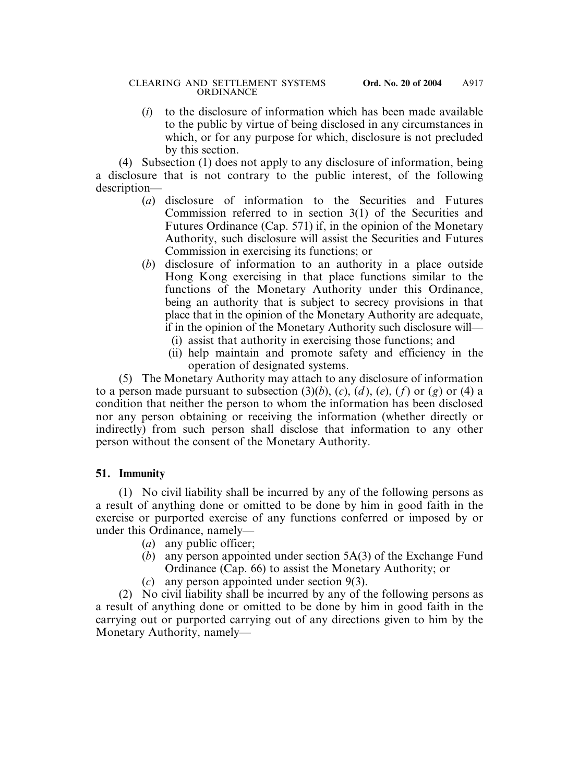(*i*) to the disclosure of information which has been made available to the public by virtue of being disclosed in any circumstances in which, or for any purpose for which, disclosure is not precluded by this section.

(4) Subsection (1) does not apply to any disclosure of information, being a disclosure that is not contrary to the public interest, of the following description—

- (*a*) disclosure of information to the Securities and Futures Commission referred to in section 3(1) of the Securities and Futures Ordinance (Cap. 571) if, in the opinion of the Monetary Authority, such disclosure will assist the Securities and Futures Commission in exercising its functions; or
- (*b*) disclosure of information to an authority in a place outside Hong Kong exercising in that place functions similar to the functions of the Monetary Authority under this Ordinance, being an authority that is subject to secrecy provisions in that place that in the opinion of the Monetary Authority are adequate, if in the opinion of the Monetary Authority such disclosure will—
	- (i) assist that authority in exercising those functions; and
	- (ii) help maintain and promote safety and efficiency in the operation of designated systems.

(5) The Monetary Authority may attach to any disclosure of information to a person made pursuant to subsection  $(3)(b)$ ,  $(c)$ ,  $(d)$ ,  $(e)$ ,  $(f)$  or  $(g)$  or  $(4)$  a condition that neither the person to whom the information has been disclosed nor any person obtaining or receiving the information (whether directly or indirectly) from such person shall disclose that information to any other person without the consent of the Monetary Authority.

# **51. Immunity**

(1) No civil liability shall be incurred by any of the following persons as a result of anything done or omitted to be done by him in good faith in the exercise or purported exercise of any functions conferred or imposed by or under this Ordinance, namely—

- (*a*) any public officer;
- (*b*) any person appointed under section 5A(3) of the Exchange Fund Ordinance (Cap. 66) to assist the Monetary Authority; or
- (*c*) any person appointed under section 9(3).

(2) No civil liability shall be incurred by any of the following persons as a result of anything done or omitted to be done by him in good faith in the carrying out or purported carrying out of any directions given to him by the Monetary Authority, namely—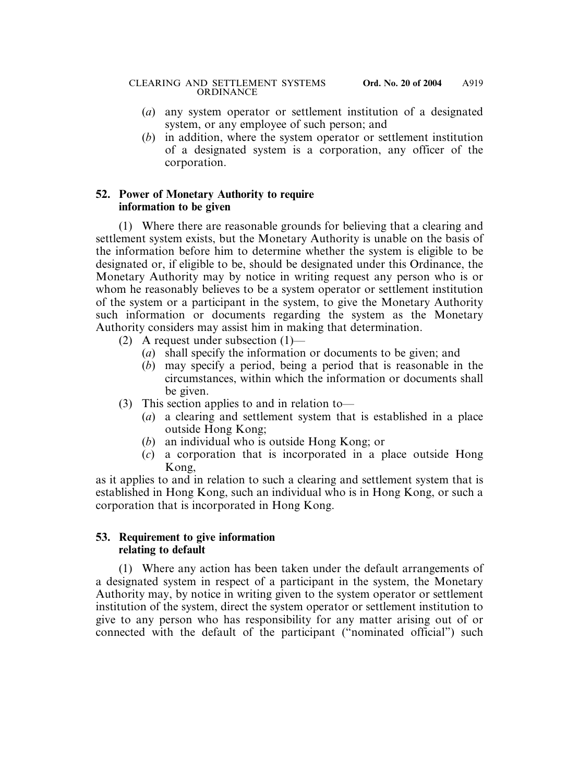- (*a*) any system operator or settlement institution of a designated system, or any employee of such person; and
- (*b*) in addition, where the system operator or settlement institution of a designated system is a corporation, any officer of the corporation.

# **52. Power of Monetary Authority to require information to be given**

(1) Where there are reasonable grounds for believing that a clearing and settlement system exists, but the Monetary Authority is unable on the basis of the information before him to determine whether the system is eligible to be designated or, if eligible to be, should be designated under this Ordinance, the Monetary Authority may by notice in writing request any person who is or whom he reasonably believes to be a system operator or settlement institution of the system or a participant in the system, to give the Monetary Authority such information or documents regarding the system as the Monetary Authority considers may assist him in making that determination.

- (2) A request under subsection (1)—
	- (*a*) shall specify the information or documents to be given; and
	- (*b*) may specify a period, being a period that is reasonable in the circumstances, within which the information or documents shall be given.
- (3) This section applies to and in relation to—
	- (*a*) a clearing and settlement system that is established in a place outside Hong Kong;
	- (*b*) an individual who is outside Hong Kong; or
	- (*c*) a corporation that is incorporated in a place outside Hong Kong,

as it applies to and in relation to such a clearing and settlement system that is established in Hong Kong, such an individual who is in Hong Kong, or such a corporation that is incorporated in Hong Kong.

# **53. Requirement to give information relating to default**

(1) Where any action has been taken under the default arrangements of a designated system in respect of a participant in the system, the Monetary Authority may, by notice in writing given to the system operator or settlement institution of the system, direct the system operator or settlement institution to give to any person who has responsibility for any matter arising out of or connected with the default of the participant ("nominated official") such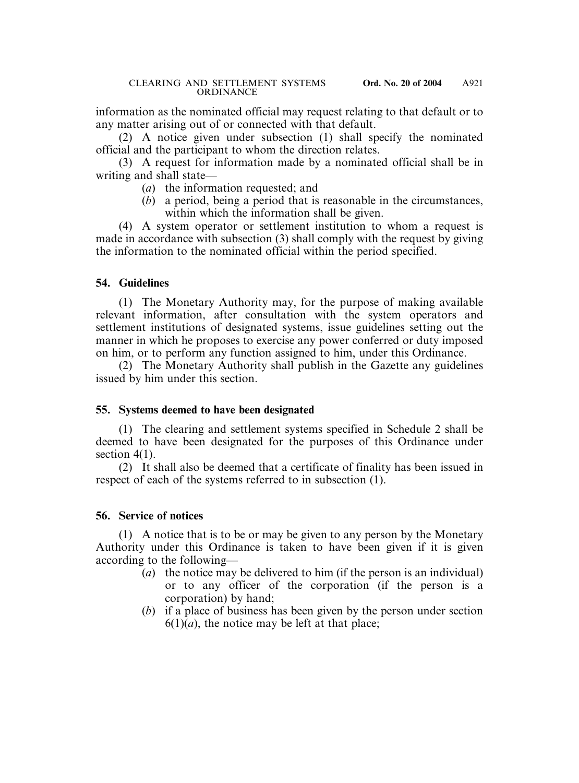information as the nominated official may request relating to that default or to any matter arising out of or connected with that default.

(2) A notice given under subsection (1) shall specify the nominated official and the participant to whom the direction relates.

(3) A request for information made by a nominated official shall be in writing and shall state—

- (*a*) the information requested; and
- (*b*) a period, being a period that is reasonable in the circumstances, within which the information shall be given.

(4) A system operator or settlement institution to whom a request is made in accordance with subsection (3) shall comply with the request by giving the information to the nominated official within the period specified.

## **54. Guidelines**

(1) The Monetary Authority may, for the purpose of making available relevant information, after consultation with the system operators and settlement institutions of designated systems, issue guidelines setting out the manner in which he proposes to exercise any power conferred or duty imposed on him, or to perform any function assigned to him, under this Ordinance.

(2) The Monetary Authority shall publish in the Gazette any guidelines issued by him under this section.

#### **55. Systems deemed to have been designated**

(1) The clearing and settlement systems specified in Schedule 2 shall be deemed to have been designated for the purposes of this Ordinance under section 4(1).

(2) It shall also be deemed that a certificate of finality has been issued in respect of each of the systems referred to in subsection (1).

# **56. Service of notices**

(1) A notice that is to be or may be given to any person by the Monetary Authority under this Ordinance is taken to have been given if it is given according to the following—

- (*a*) the notice may be delivered to him (if the person is an individual) or to any officer of the corporation (if the person is a corporation) by hand;
- (*b*) if a place of business has been given by the person under section  $6(1)(a)$ , the notice may be left at that place;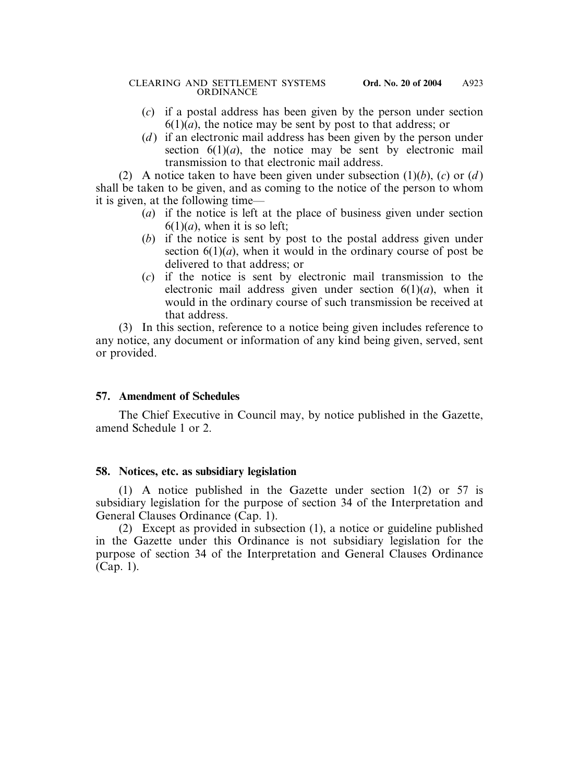- (*c*) if a postal address has been given by the person under section  $6(1)(a)$ , the notice may be sent by post to that address; or
- (*d*) if an electronic mail address has been given by the person under section  $6(1)(a)$ , the notice may be sent by electronic mail transmission to that electronic mail address.

(2) A notice taken to have been given under subsection  $(1)(b)$ ,  $(c)$  or  $(d)$ shall be taken to be given, and as coming to the notice of the person to whom it is given, at the following time—

- (*a*) if the notice is left at the place of business given under section  $6(1)(a)$ , when it is so left;
- (*b*) if the notice is sent by post to the postal address given under section  $6(1)(a)$ , when it would in the ordinary course of post be delivered to that address; or
- (*c*) if the notice is sent by electronic mail transmission to the electronic mail address given under section  $6(1)(a)$ , when it would in the ordinary course of such transmission be received at that address.

(3) In this section, reference to a notice being given includes reference to any notice, any document or information of any kind being given, served, sent or provided.

# **57. Amendment of Schedules**

The Chief Executive in Council may, by notice published in the Gazette, amend Schedule 1 or 2.

# **58. Notices, etc. as subsidiary legislation**

(1) A notice published in the Gazette under section 1(2) or 57 is subsidiary legislation for the purpose of section 34 of the Interpretation and General Clauses Ordinance (Cap. 1).

(2) Except as provided in subsection (1), a notice or guideline published in the Gazette under this Ordinance is not subsidiary legislation for the purpose of section 34 of the Interpretation and General Clauses Ordinance (Cap. 1).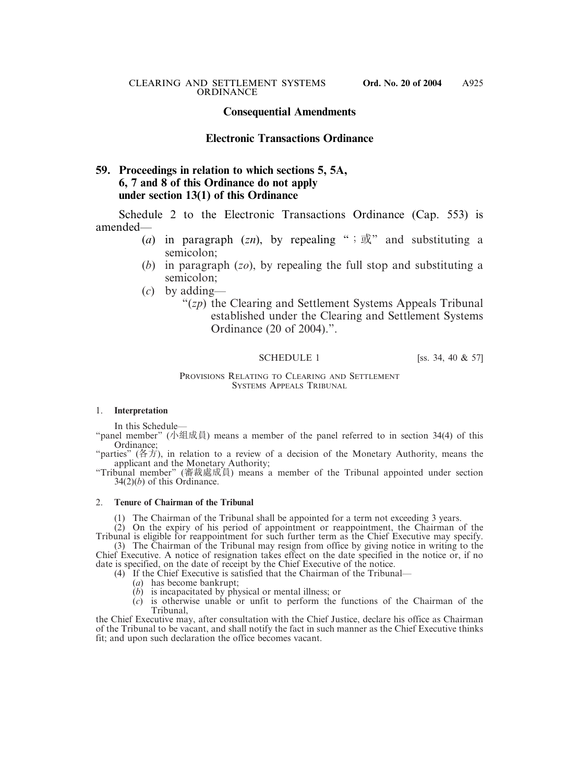#### **Consequential Amendments**

#### **Electronic Transactions Ordinance**

#### **59. Proceedings in relation to which sections 5, 5A, 6, 7 and 8 of this Ordinance do not apply under section 13(1) of this Ordinance**

Schedule 2 to the Electronic Transactions Ordinance (Cap. 553) is amended—

- (*a*) in paragraph (*zn*), by repealing ";  $\vec{\mathbb{E}}$ " and substituting a semicolon;
- (*b*) in paragraph (*zo*), by repealing the full stop and substituting a semicolon;
- (*c*) by adding—
	- "(*zp*) the Clearing and Settlement Systems Appeals Tribunal established under the Clearing and Settlement Systems Ordinance (20 of 2004).".

SCHEDULE 1 [ss. 34, 40 & 57]

#### PROVISIONS RELATING TO CLEARING AND SETTLEMENT SYSTEMS APPEALS TRIBUNAL

#### 1. **Interpretation**

In this Schedule—

"panel member" (小組成員) means a member of the panel referred to in section 34(4) of this Ordinance;

"parties" (各方), in relation to a review of a decision of the Monetary Authority, means the applicant and the Monetary Authority;

"Tribunal member" (審裁處成員) means a member of the Tribunal appointed under section 34(2)(*b*) of this Ordinance.

#### 2. **Tenure of Chairman of the Tribunal**

(1) The Chairman of the Tribunal shall be appointed for a term not exceeding 3 years.

 $(2)$  On the expiry of his period of appointment or reappointment, the Chairman of the Tribunal is eligible for reappointment for such further term as the Chief Executive may specify.

(3) The Chairman of the Tribunal may resign from office by giving notice in writing to the Chief Executive. A notice of resignation takes effect on the date specified in the notice or, if no date is specified, on the date of receipt by the Chief Executive of the notice.

 $(4)$  If the Chief Executive is satisfied that the Chairman of the Tribunal—

- (*a*) has become bankrupt;
- (*b*) is incapacitated by physical or mental illness; or
- (*c*) is otherwise unable or unfit to perform the functions of the Chairman of the Tribunal,

the Chief Executive may, after consultation with the Chief Justice, declare his office as Chairman of the Tribunal to be vacant, and shall notify the fact in such manner as the Chief Executive thinks fit; and upon such declaration the office becomes vacant.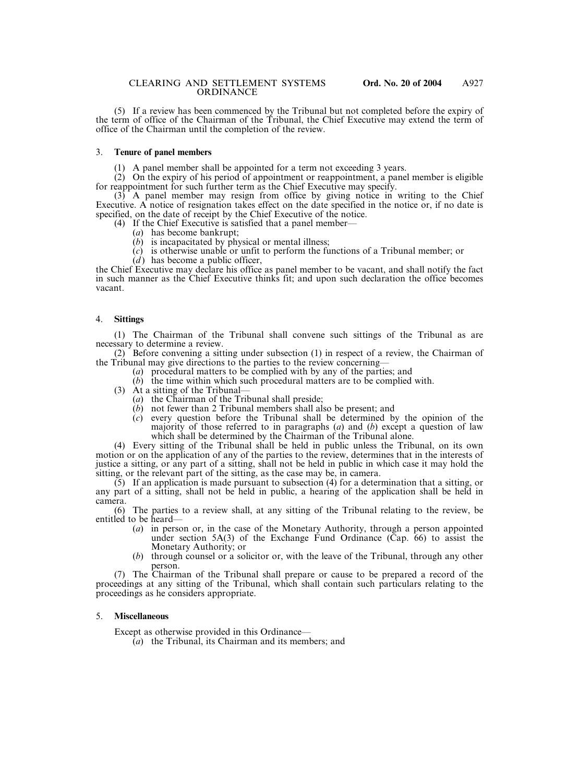(5) If a review has been commenced by the Tribunal but not completed before the expiry of the term of office of the Chairman of the Tribunal, the Chief Executive may extend the term of office of the Chairman until the completion of the review.

#### 3. **Tenure of panel members**

(1) A panel member shall be appointed for a term not exceeding 3 years.

 $(2)$  On the expiry of his period of appointment or reappointment, a panel member is eligible for reappointment for such further term as the Chief Executive may specify.

 $(3)$  A panel member may resign from office by giving notice in writing to the Chief Executive. A notice of resignation takes effect on the date specified in the notice or, if no date is specified, on the date of receipt by the Chief Executive of the notice.

(4) If the Chief Executive is satisfied that a panel member—

- (*a*) has become bankrupt;
- (*b*) is incapacitated by physical or mental illness;
- (*c*) is otherwise unable or unfit to perform the functions of a Tribunal member; or
- $\hat{d}$  has become a public officer,

the Chief Executive may declare his office as panel member to be vacant, and shall notify the fact in such manner as the Chief Executive thinks fit; and upon such declaration the office becomes vacant.

#### 4. **Sittings**

(1) The Chairman of the Tribunal shall convene such sittings of the Tribunal as are necessary to determine a review.

(2) Before convening a sitting under subsection (1) in respect of a review, the Chairman of the Tribunal may give directions to the parties to the review concerning—

- (*a*) procedural matters to be complied with by any of the parties; and
- $(b)$  the time within which such procedural matters are to be complied with.
- (3) At a sitting of the Tribunal—
	- (*a*) the Chairman of the Tribunal shall preside;
	- (*b*) not fewer than 2 Tribunal members shall also be present; and
	- (*c*) every question before the Tribunal shall be determined by the opinion of the majority of those referred to in paragraphs (*a*) and (*b*) except a question of law which shall be determined by the Chairman of the Tribunal alone.

(4) Every sitting of the Tribunal shall be held in public unless the Tribunal, on its own motion or on the application of any of the parties to the review, determines that in the interests of justice a sitting, or any part of a sitting, shall not be held in public in which case it may hold the sitting, or the relevant part of the sitting, as the case may be, in camera.

 $(5)$  If an application is made pursuant to subsection (4) for a determination that a sitting, or any part of a sitting, shall not be held in public, a hearing of the application shall be held in camera.

(6) The parties to a review shall, at any sitting of the Tribunal relating to the review, be entitled to be heard—

- (*a*) in person or, in the case of the Monetary Authority, through a person appointed under section 5A(3) of the Exchange Fund Ordinance (Cap.  $66$ ) to assist the Monetary Authority; or
- (*b*) through counsel or a solicitor or, with the leave of the Tribunal, through any other person.

(7) The Chairman of the Tribunal shall prepare or cause to be prepared a record of the proceedings at any sitting of the Tribunal, which shall contain such particulars relating to the proceedings as he considers appropriate.

#### 5. **Miscellaneous**

Except as otherwise provided in this Ordinance—

 $\overline{(a)}$  the Tribunal, its Chairman and its members; and